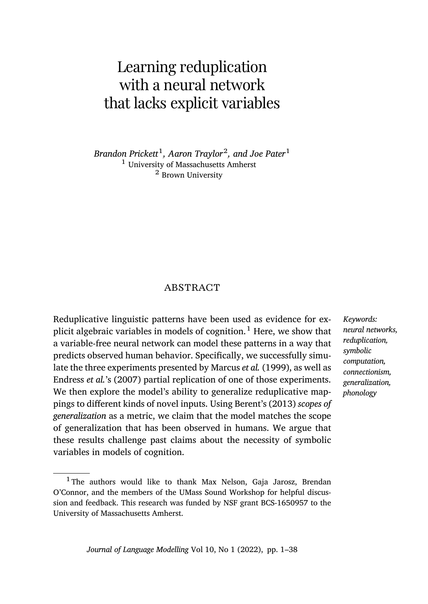# <span id="page-0-0"></span>Learning reduplication with a neural network that lacks explicit variables

*Brandon Prickett*<sup>1</sup> *, Aaron Traylor*<sup>2</sup> *, and Joe Pater*<sup>1</sup> <sup>1</sup> University of Massachusetts Amherst <sup>2</sup> Brown University

# ABSTRACT

Reduplicative linguistic patterns have been used as evidence for explicit algebraic variables in models of cognition.<sup>1</sup> Here, we show that a variable-free neural network can model these patterns in a way that predicts observed human behavior. Specifically, we successfully simulate the three experiments presented by Marcus *et al.* (1999), as well as Endress *et al.*'s (2007) partial replication of one of those experiments. We then explore the model's ability to generalize reduplicative mappings to different kinds of novel inputs. Using Berent's (2013) *scopes of generalization* as a metric, we claim that the model matches the scope of generalization that has been observed in humans. We argue that these results challenge past claims about the necessity of symbolic variables in models of cognition.

*neural networks, reduplication, symbolic computation, connectionism, generalization, phonology*

*Keywords:*

<sup>&</sup>lt;sup>1</sup> The authors would like to thank Max Nelson, Gaja Jarosz, Brendan O'Connor, and the members of the UMass Sound Workshop for helpful discussion and feedback. This research was funded by NSF grant BCS-1650957 to the University of Massachusetts Amherst.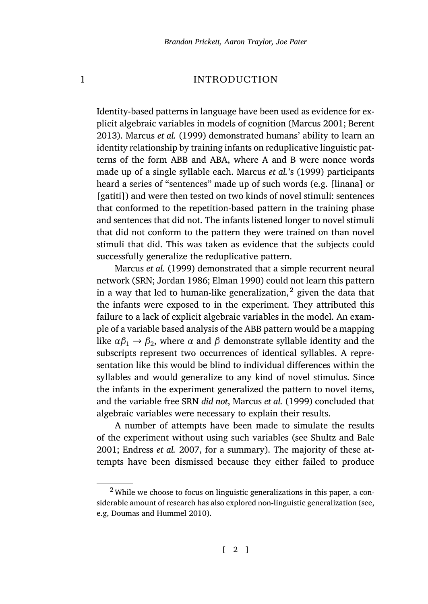# 1 INTRODUCTION

Identity-based patterns in language have been used as evidence for explicit algebraic variables in models of cognition (Marcus 2001; Berent 2013). Marcus *et al.* (1999) demonstrated humans' ability to learn an identity relationship by training infants on reduplicative linguistic patterns of the form ABB and ABA, where A and B were nonce words mad[e up of a single syll](#page-35-0)able each. Marcus *et al.*'s (1999) participants heard a series [of "sentences"](#page-34-0) [made up of](#page-33-0) such words (e.g. [linana] or [gatiti]) and were then tested on two kinds of novel stimuli: sentences that conformed to the repetition-based pattern in the training phase and sentences that did not. The infants listened longer to novel stimuli that did not conform to the pattern they were trained on than novel stimuli that did. This was taken as evidence that the subjects could successfully generalize the reduplicative pattern.

Marcus *et al.* (1999) demonstrated that a simple recurrent neural network (SRN; Jordan 1986; Elman 1990) could not learn this pattern in a way that led to human-like generalization, $^2$  given the data that the infants were exposed to in t[he experimen](#page-35-0)t[. They](#page-35-0) attributed this failure to a lack of explicit algebraic variables in the model. An example of a variable based analysis of the ABB pattern would be a mapping like  $\alpha\beta_1 \rightarrow \beta_2$ , where  $\alpha$  and  $\beta$  demonstrate syllable [identity and the](#page-36-0) [subsc](#page-36-0)r[ipts represent two o](#page-33-1)ccurrences of identical syllables. A representation like this would be blind to individual differences within the syllables and would generalize to any kind of novel stimulus. Since the infants in the experiment generalized the pattern to novel items, and the variable free SRN *did not*, Marcus *et al.* (1999) concluded that alg[ebraic variables were nec](#page-33-2)essary to explain their results.

A number of attempts have been made to simulate the results of the experiment without using such variables (see Shultz and Bale 2001; Endress *et al.* 2007, for a summary). The majority of these attempts have been dismissed because they either failed to produce

<sup>2</sup>While we choose to focus on linguistic generalizations in this paper, a considerable amount of research has also explored non-linguistic generalization (see, e.g, Doumas and Hummel 2010).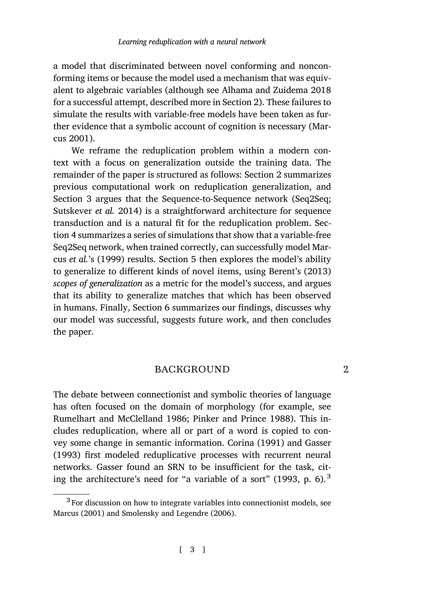a model that discriminated between novel conforming and nonconforming items or because the model used a mechanism t[ha](#page-2-0)t was equivalent to algebraic variables (although see Alhama and Zuidema 2018 for a suc[ce](#page-6-0)ssful attempt, described more in Section 2). These failures to [simulate the results w](#page-36-1)ith variable-free models have been taken as further evidence that a symbolic account of cognition is necessary (Marcus [20](#page-9-0)01).

<span id="page-2-0"></span>We reframe the reduplication problem within a modern context with a focus on generalizat[ion](#page-17-0) outside the training data. The remainder of the paper is structured as follows: Section 2 sum[marizes](#page-32-0) previous computational work on reduplication generalization, and Section 3 argues that the Sequence-to-Sequence network (Seq2Seq; Sutskever *et al.* 2014) is a [str](#page-27-0)aightforward architecture for sequence transduction and is a natural fit for the reduplication problem. Section 4 summarizes a series of simulations that show that a variable-free Seq2Seq network, when trained correctly, can successfully model Marcus *et al.*'s (1999) results. Section 5 then explores the model's ability to generalize to different kinds of novel items, using Berent's (2013) *scopes of generalization* as a metric for the model's success, and argues that its ability to generalize matches that which has been observed in humans. Finally, Section 6 summarizes our findings, discusses why [our model was successful, sugges](#page-36-2)t[s future work, and then](#page-36-3) concludes the paper.

# BACKGROUND 2

The debate between connectionist and symbolic theories of language has often focused on the domain of morphology (for example, see Rumelhart and McClelland 1986; Pinker and Prince 1988). This includes reduplication, where all or part of a word is copied to convey some change in semantic information. Corina (1991) and Gasser (1993) first modeled reduplicative processes with recurrent neural networks. Gasser found an SRN to be insufficient for the task, citing the architecture's need for "a variable of a sort" (1993, p. 6).<sup>3</sup>

<sup>&</sup>lt;sup>3</sup> For discussion on how to integrate variables into connectionist models, see Marcus (2001) and Smolensky and Legendre (2006).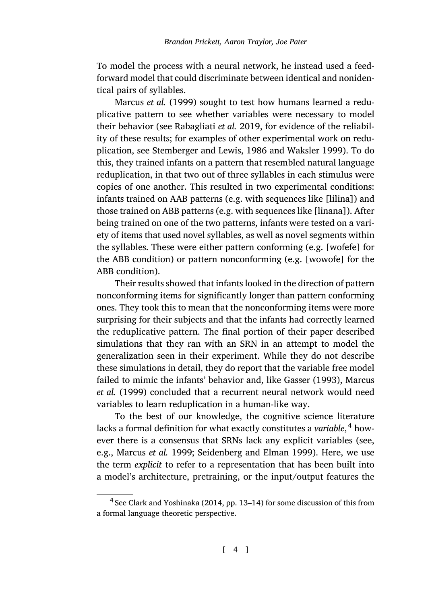To model the process with a neural network, he instead used a feedforward model that could discriminate between identical and nonidentical pairs of syllables.

Marcus *et al.* (1999) sought to test how humans learned a reduplicative pattern to see whether variables were necessary to model their behavior (see Rabagliati *et al.* 2019, for evidence of the reliability of these results; for examples of other experimental work on reduplication, see Stemberger and Lewis, 1986 and Waksler 1999). To do this, they trained infants on a pattern that resembled natural language reduplication, in that two out of three syllables in each stimulus were copies of one another. This resulted in two experimental conditions: infants trained on AAB patterns (e.g. with sequences like [lilina]) and those trained on ABB patterns (e.g. with sequences like [linana]). After being trained on one of the two patterns, infants were tested on a variety of items that used novel syllables, as well as novel segments within the syllables. These were either pattern conforming (e.g. [wofefe] for the ABB condition) or pattern nonconforming (e.g. [wowofe] for the ABB condition).

Their results showed that infants looked in [the direction o](#page-34-1)f [pattern](#page-35-0) [nonconform](#page-35-0)ing items for significantly longer than pattern conforming ones. They took this to mean that the nonconforming items were more surprising for their subjects and that the infants had correctly learned the reduplicative pattern. The final portion of their paper described simulations that they ran with an SRN in an attempt to model the gene[ralization seen in t](#page-35-0)h[eir experiment. While they d](#page-36-4)o not describe these simulations in detail, they do report that the variable free model failed to mimic the infants' behavior and, like Gasser (1993), Marcus *et al.* (1999) concluded that a recurrent neural network would need variabl[es to learn reduplication](#page-33-3) in a human-like way.

To the best of our knowledge, the cognitive science literature lacks a formal definition for what exactly constitutes a *variable*, <sup>4</sup> however there is a consensus that SRNs lack any explicit variables (see, e.g., Marcus *et al.* 1999; Seidenberg and Elman 1999). Here, we use the term *explicit* to refer to a representation that has been built into a model's architecture, pretraining, or the input/output features the

<sup>&</sup>lt;sup>4</sup> See Clark and Yoshinaka (2014, pp. 13–14) for some discussion of this from a formal language theoretic perspective.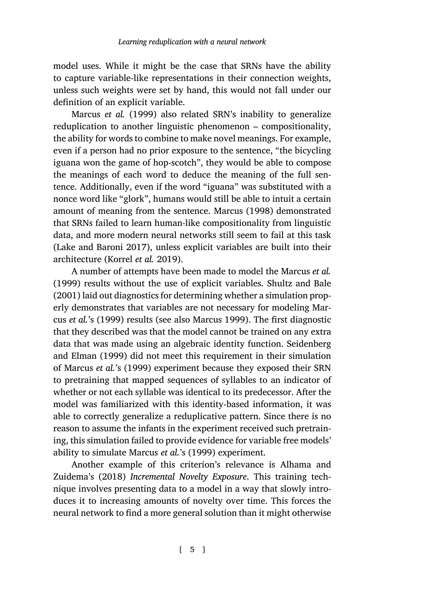model uses. While it might be the case that SRNs have the ability to capture variable-like representations in their connection weights, unless such weights were set by hand, this would not fall under our definition of an explicit variable.

Marcus *et al.* (1999) also related [SRN's inability](#page-35-1) to generalize reduplication to another linguistic phenomenon – compositionality, the ability for words to combine to make novel meanings. For example, [even if a person had no](#page-34-2) prior exposure to the sentence, "the bicycling iguana wont[he game of hop-sc](#page-34-3)otch", they would be able to compose the meanings of each word to deduce the meaning of [the full sen](#page-35-0)t[ence.](#page-35-0) Additionally, even if the word "iguana" was s[ubstituted with a](#page-36-0) [nonce](#page-36-0) word like "glork", humans would still be able to intuit a certain amount of meaning from the sentence. Marcus (1998) demonstrated that SRNs failed to learn human-li[ke compositio](#page-35-2)nality from linguistic data, and more modern neural networks still seem to fail at this task (Lake and Baroni 2017), unless explicit variables are bui[lt into their](#page-36-4) [architectur](#page-36-4)e [\(Korr](#page-36-4)el *et al.* 2019).

A number of attempts have been made to model the Marcus *et al.* (1999) results without the use of explicit variables. Shultz and Bale (2001) laid out diagnostics for determining whether a simulation properly demonstrates that variables are not necessary for modeling Marcus *et al.*'s (1999) results (see also Marcus 1999). The first diagnostic that they described was that the model cannot be trained on any extra data that was made using an algebraic identity function. Seidenberg and Elman (1999) did not meet this requirement in their simulation of Marcus *et al.*'s (1999) experiment because they expos[ed their SRN](#page-32-1) [to pretra](#page-32-1)ini[ng tha](#page-32-1)t mapped sequences of syllables to an indicator of whether or not each syllable was identical to its predecessor. After the model was familiarized with this identity-based information, it was able to correctly generalize a reduplicative pattern. Since there is no reason to assume the infants in the experiment received such pretraining, this simulation failed to provide evidence for variable free models' ability to simulate Marcus *et al.*'s (1999) experiment.

Another example of this criterion's relevance is Alhama and Zuidema's (2018) *Incremental Novelty Exposure*. This training technique involves presenting data to a model in a way that slowly introduces it to increasing amounts of novelty over time. This forces the neural network to find a more general solution than it might otherwise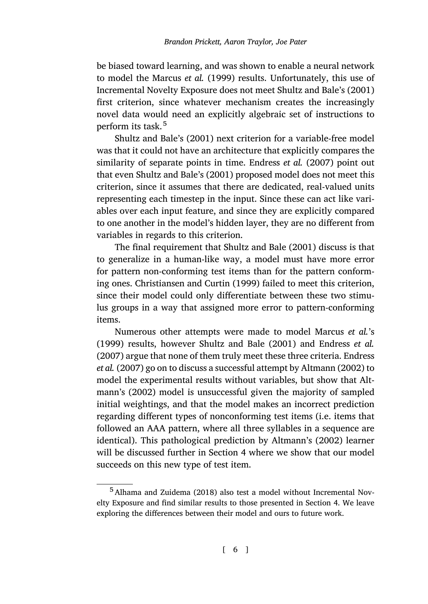be biased toward learning, and was sh[own to enable a neur](#page-33-1)al network to model the Marcus *et al.* [\(1999](#page-36-0)) results. Unfortunately, this use of Incremental Novelty Exposure does not meet Shultz and Bale's (2001) first criterion, since whatever mechanism creates the increasingly novel data would need an explicitly algebraic set of instructions to perform its task.<sup>5</sup>

Shultz and Bale's (2001) next criterion for a variable-free model was that it could not have an architecture that ex[plicitl](#page-36-0)y compares the similarity of separate points in time. Endress *et al.* (2007) point out that even Shultz and Bale's (2001) proposed model does not meet this criterion, [since it assumes that th](#page-32-2)e[re are](#page-32-2) dedicated, real-valued units representing each timestep in the input. Since these can act like variables over each input feature, and since they are explicitly compared to one another in the model's hidden layer, they are no different from variables in regards to this criterion.

The final requirement that Shultz and [Bale \(2](#page-36-0)001) [discuss is that](#page-33-1) t[o gen](#page-33-1)eralize in a human-like way, a model must have more error for pattern non-conforming test items than for th[e pattern confor](#page-32-3)ming ones. Christiansen and Curtin (1999) failed to meet this criterion, since their model could only differentiate between these two stimulus groups in a way that assigned more error to pattern-conforming items.

Numerous other attempts were made to model Marcus *et al.*'s (1999) results, however Shultz and Bale (2001) and Endress *et al.* (2007) argue that none of them trul[y m](#page-9-0)eet these three criteria. Endress *et al.* (2007) go on to discuss a successful attempt by Altmann (2002) to model the experimental results without variables, but show that Altman[n's \(2002\) model is unsu](#page-32-1)ccessful given the majority of sampled initial weightings, and that the model makes an incorrect [p](#page-9-0)rediction regarding different types of nonconforming test items (i.e. items that followed an AAA pattern, where all three syllables in a sequence are identical). This pathological prediction by Altmann's (2002) learner will be discussed further in Section 4 where we show that our model succeeds on this new type of test item.

<sup>5</sup>Alhama and Zuidema (2018) also test a model without Incremental Novelty Exposure and find similar results to those presented in Section 4. We leave exploring the differences between their model and ours to future work.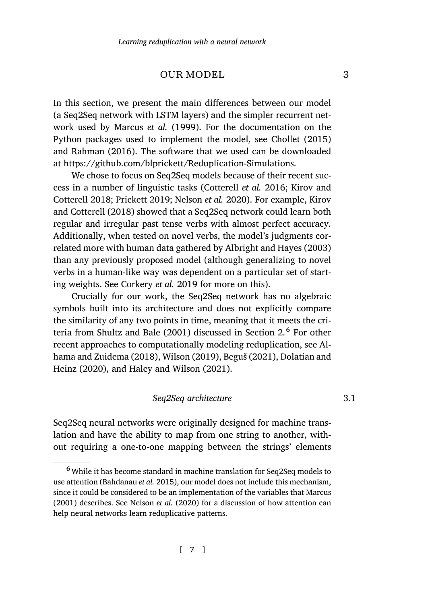# OUR MODEL 3

<span id="page-6-0"></span>[In this section](#page-34-4), [we present th](#page-36-5)[e main differences](#page-35-3) between our [model](#page-34-4) [\(a Seq2Seq n](#page-34-4)e[twork](#page-34-4) with LSTM layers) and the simpler recurrent network used by Marcus *et al.* (1999). For the documentation on the Python packages used to implement the model, see Chollet (2015) and Rahman (2016). The software that w[e used can be down](#page-32-4)l[oaded](#page-32-4) at https://github.com/blprickett/Reduplication-Simulations.

We chose to focus on Seq2Seq models because of their recent success in a numbe[r of linguistic tasks](#page-33-4) (Cotterell *et al.* 2016; Kirov and Cotterell 2018; Prickett 2019; Nelson *et al.* 2020). For example, Kirov and Cotterell (2018) showed that a Seq2Seq network could learn both regular and irregular past tense verbs with almost perfect accuracy. Additional[ly, when tested on nove](#page-36-0)l verbs, the model's j[ud](#page-2-0)gments correlated more with human data gathered by Albright and Hayes (20[03\)](#page-32-1) [than any previousl](#page-32-1)y [prop](#page-32-1)o[sed model \(alt](#page-37-0)h[ough genera](#page-32-5)li[zing to novel](#page-33-5) [verbs](#page-33-5) i[n a hu](#page-33-5)man-l[ike way was dependent o](#page-34-5)n a particular set of starting weights. See Corkery *et al.* 2019 for more on this).

Crucially for our work, the Seq2Seq network has no algebraic symbols built into its architecture and does not explicitly compare the similarity of any two points in time, meaning that it meets the criteria from Shultz and Bale (2001) discussed in Section 2. 6 For other recent approaches to computationally modeling reduplication, see Alhama and Zuidema (2018), Wilson (2019), Beguš (2021), Dolatian and Heinz (2020), and Haley and Wilson (2021).

# *[Seq2Seq arc](#page-35-3)hitecture* 3.1

Seq2Seq neural networks were originally designed for machine translation and have the ability to map from one string to another, without requiring a one-to-one mapping between the strings' elements

<sup>&</sup>lt;sup>6</sup> While it has become standard in machine translation for Seq2Seq models to use attention (Bahdanau *et al.* 2015), our model does not include this mechanism, since it could be considered to be an implementation of the variables that Marcus (2001) describes. See Nelson *et al.* (2020) for a discussion of how attention can help neural networks learn reduplicative patterns.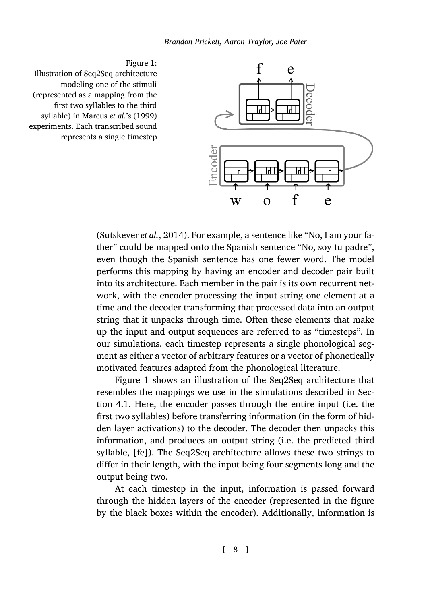



<span id="page-7-0"></span>Figure 1: Illustration of Seq2Seq architecture modeling one of the stimuli (represented as a mapping from the first two syllables to the third syllable) in Marcus *et al.*'s (1999) experiments. Each transcribed sound represents a single timestep

> (Sutskever *et al.*, 2014). For example, a sentence like "No, I am your father" could be mapped onto the Spanish sentence "No, soy tu padre", even though the Spanish sentence has one fewer word. The model performs this mapping by having an encoder and decoder pair built into its arc[hit](#page-7-0)ecture. Each member in the pair is its own recurrent network, with the encoder processing the input string one element at a time [and](#page-9-1) the decoder transforming that processed data into an output string that it unpacks through time. Often these elements that make up the input and output sequences are referred to as "timesteps". In our simulations, each timestep represents a single phonological segment as either a vector of arbitrary features or a vector of phonetically motivated features adapted from the phonological literature.

> Figure 1 shows an illustration of the Seq2Seq architecture that resembles the mappings we use in the simulations described in Section 4.1. Here, the encoder passes through the entire input (i.e. the first two syllables) before transferring information (in the form of hidden layer activations) to the decoder. The decoder then unpacks this information, and produces an output string (i.e. the predicted third syllable, [fe]). The Seq2Seq architecture allows these two strings to differ in their length, with the input being four segments long and the output being two.

> At each timestep in the input, information is passed forward through the hidden layers of the encoder (represented in the figure by the black boxes within the encoder). Additionally, information is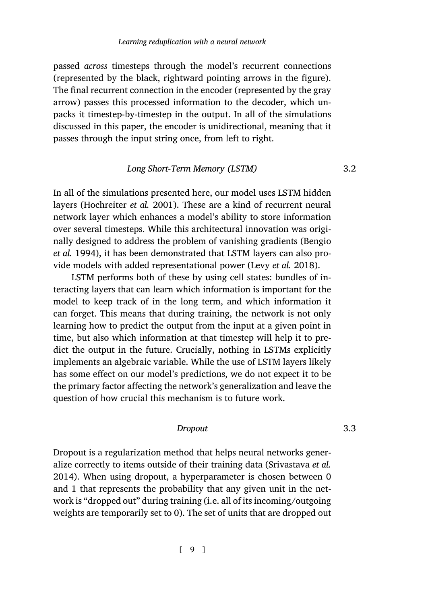passed *across* timesteps through the model's recurrent connections (represented by the black, rightward pointing arrows in the figure). The final recurrent connection in the encoder (represented by the gray arrow) [passes this processed](#page-34-6) information to the decoder, which unpacks it timestep-by-timestep in the output. In all of the simulations discussed in this paper, the encoder is unidirectional, meaning that it passes through the input string once, from left to right.

# *Long Short-Term Memory (LST[M\)](#page-35-4)* 3.2

In all of the simulations presented here, our model uses LSTM hidden layers (Hochreiter *et al.* 2001). These are a kind of recurrent neural network layer which enhances a model's ability to store information over several timesteps. While this architectural innovation was originally designed to address the problem of vanishing gradients (Bengio *et al.* 1994), it has been demonstrated that LSTM layers can also provide models with added representational power (Levy *et al.* 2018).

LSTM performs both of these by using cell states: bundles of interacting layers that can learn which information is important for the model to keep track of in the long term, and which information it can forget. This means that during training, the network is not only learning how to predict the output from the input at a given point in time, but also which information at that timestep will help it to predict the output in the future. Crucially, nothing in LSTMs explicitly implements an algebraic variable. While the use of LS[TM layers likely](#page-36-6) [has so](#page-36-6)me effect on our model's predictions, we do not expect it to be the primary factor affecting the network's generalization and leave the question of how crucial this mechanism is to future work.

# *Dropout* 3.3

Dropout is a regularization method that helps neural networks generalize correctly to items outside of their training data (Srivastava *et al.* 2014). When using dropout, a hyperparameter is chosen between 0 and 1 that represents the probability that any given unit in the network is "dropped out" during training (i.e. all of its incoming/outgoing weights are temporarily set to 0). The set of units that are dropped out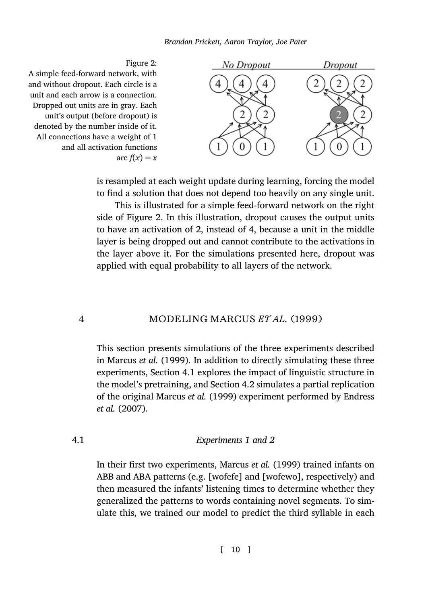*Brandon Prickett, Aaron Traylor, Joe Pater*

<span id="page-9-2"></span>

is resampled at each weight update during learning, forcing the model to find a solution that does not depend too heavily on any single unit.

<span id="page-9-0"></span>This is illustrated for a simple feed-forward network on the right side of Figure 2. In this illustration, dropout causes the output units to have an activation of 2, instead of 4, because a unit in the middle layer is being dropped out and cannot contribute to the activations in the layer above it. For the simulations presented here, dropout was ap[plied with equal pro](#page-35-0)[ba](#page-9-1)bility to all layers of the network.

# 4 MODELING MARCUS *ET AL.* (1999)

<span id="page-9-1"></span>This section presents simulations of the three experiments described in Marcus *et al.* (1999). In addition to directly simulating these three experiments, Section 4.1 explores the impact of linguistic structure in the model's pretraining, and Section 4.2 simulates a partial replication of the original Marcus *et al.* (1999) experiment performed by Endress *et al.* (2007).

# 4.1 *Experiments 1 and 2*

In their first two experiments, Marcus *et al.* (1999) trained infants on ABB and ABA patterns (e.g. [wofefe] and [wofewo], respectively) and then measured the infants' listening times to determine whether they generalized the patterns to words containing novel segments. To simulate this, we trained our model to predict the third syllable in each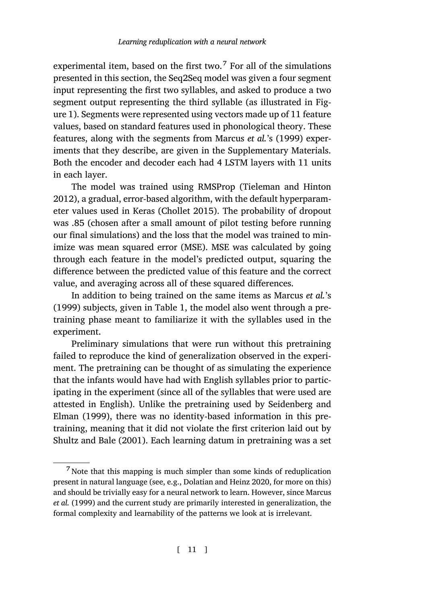experimental item, based on the first two.<sup>7</sup> For all of the simulations presented in this section, the Seq2Seq model was given a four segment input representing the first two syllables, and a[sked to produce a two](#page-37-1) [segm](#page-37-1)ent output representing the third syllable (as illustrated in Figure 1). Segments were repr[esented using](#page-32-6) vectors made up of 11 feature values, based on standard features used in phonological theory. These features, along with the segments from Marcus *et al.*'s (1999) experiments that they describe, are given in the Supplementary Materials. Both the encoder and decoder each had 4 LSTM layers with 11 units in each layer.

The model was trained using RMSProp (Tieleman and Hinton 2012), a gradual, error-based algorithm, with the default hyperparameter values used in Keras (Chol[le](#page-11-0)t 2015). The probability of dropout was .85 (chosen after a small amount of pilot testing before running our final simulations) and the loss that the model was trained to minimize was mean squared error (MSE). MSE was calculated by going through each feature in the model's predicted output, squaring the difference between the predicted value of this feature and the correct value, and averaging across all of these squared differences.

In addition to being trained on the same items as Marcus *et al.*'s (1999) subjects, given in Table 1, the model also wen[t through a pre](#page-36-4)[trainin](#page-36-4)g [phas](#page-36-4)e meant to familiarize it with the syllables used in the experiment.

[Preliminary simul](#page-36-0)ations that were run without this pretraining failed to reproduce the kind of generalization observed in the experiment. The pretraining can be thought of as simulating the experience that the infants would have had [with English syllables](#page-33-5) prior to participating in the experiment (since all of the syllables that were u[sed are](#page-35-0) [attested in](#page-35-0) English). Unlike the pretraining used by Seidenberg and Elman (1999), there was no identity-based information in this pretraining, meaning that it did not violate the first criterion laid out by Shultz and Bale (2001). Each learning datum in pretraining was a set

 $7$  Note that this mapping is much simpler than some kinds of reduplication present in natural language (see, e.g., Dolatian and Heinz 2020, for more on this) and should be trivially easy for a neural network to learn. However, since Marcus *et al.* (1999) and the current study are primarily interested in generalization, the formal complexity and learnability of the patterns we look at is irrelevant.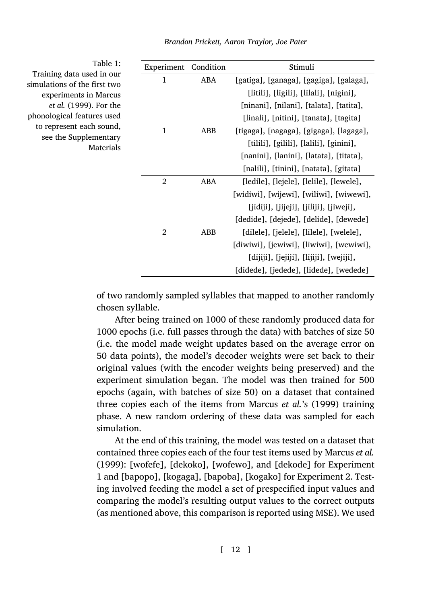*Brandon Prickett, Aaron Traylor, Joe Pater*

<span id="page-11-0"></span>Table 1: Training data used in our simulations of the first two experiments in Marcus *et al.* (1999). For the phonological features used to represent each sound, see the Supplementary Materials

| Experiment     | Condition | Stimuli                                 |  |  |
|----------------|-----------|-----------------------------------------|--|--|
| 1              | ABA       | [gatiga], [ganaga], [gagiga], [galaga], |  |  |
|                |           | [litili], [ligili], [lilali], [nigini], |  |  |
|                |           | [ninani], [nilani], [talata], [tatita], |  |  |
|                |           | [linali], [nitini], [tanata], [tagita]  |  |  |
| $\mathbf{1}$   | ABB       | [tigaga], [nagaga], [gigaga], [lagaga], |  |  |
|                |           | [tilili], [gilili], [lalili], [ginini], |  |  |
|                |           | [nanini], [lanini], [latata], [titata], |  |  |
|                |           | [nalili], [tinini], [natata], [gitata]  |  |  |
| 2              | ABA       | [ledile], [lejele], [lelile], [lewele], |  |  |
|                |           | [widiwi], [wijewi], [wiliwi], [wiwewi], |  |  |
|                |           | [jidiji], [jijeji], [jiliji], [jiweji], |  |  |
|                |           | [dedide], [dejede], [delide], [dewede]  |  |  |
| $\overline{2}$ | ABB       | [dilele], [jelele], [lilele], [welele], |  |  |
|                |           | [diwiwi], [jewiwi], [liwiwi], [wewiwi], |  |  |
|                |           | [dijiji], [jejiji], [lijiji], [wejiji], |  |  |
|                |           | [didede], [jedede], [lidede], [wedede]  |  |  |

of two randomly sampled syllables that mapped to another randomly chosen syllable.

After being trained on 1000 of these randomly produced data for 1000 epochs (i.e. full passes through the data) with batches of size 50 (i.e. the model made weight updates based on the average error on 50 data points), the model's decoder weights were set [back to their](#page-35-0) [origina](#page-35-0)l values (with the encoder weights being preserved) and the experiment simulation began. The model was then trained for 500 epochs (again, with batches of size 50) on a dataset that contained three copies each of the items from Marcus *et al.*'s (1999) training phase. A new random ordering of these data was sampled for each simulation.

At the end of this training, the model was tested on a dataset that contained three copies each of the four test items used by Marcus *et al.* (1999): [wofefe], [dekoko], [wofewo], and [dekode] for Experiment 1 and [bapopo], [kogaga], [bapoba], [kogako] for Experiment 2. Testing involved feeding the model a set of prespecified input values and comparing the model's resulting output values to the correct outputs (as mentioned above, this comparison is reported using MSE). We used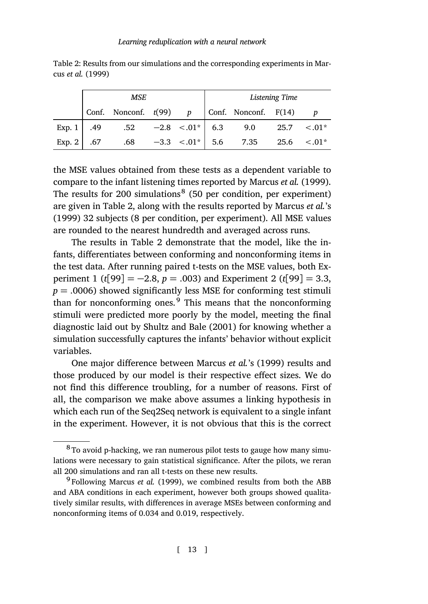<span id="page-12-0"></span>Table 2: Results from our simulations and the corresponding experiments in Marcus *et al.* (1999)

|                    | MSE |                                                                |  |  |  |                                                | Listening Time |  |
|--------------------|-----|----------------------------------------------------------------|--|--|--|------------------------------------------------|----------------|--|
|                    |     | Conf. Nonconf. $t(99)$ p Conf. Nonconf. F(14) p                |  |  |  |                                                |                |  |
|                    |     | Exp. 1   .49    .52 $-2.8$ <.01*   6.3    9.0    25.7    <.01* |  |  |  |                                                |                |  |
| Exp. 2 $\vert$ .67 |     |                                                                |  |  |  | $.68$ $-3.3$ $< .01^*$ 5.6 7.35 25.6 $< .01^*$ |                |  |

the MSE values obtained from these tests as a dependent variable to compare to the infant listening times reported by Marcus *et al.* (1999). The results for 200 simulations<sup>8</sup> (50 per condition, per experiment) are given in Table 2, along with the results reported by Marcus *et al.*'s (1999) 32 subjects (8 per condition, per experiment). All MSE values are rounded to the ne[arest hundredth](#page-36-0) a[nd av](#page-36-0)eraged across runs.

The results in Table 2 demonstrate that the model, like the infants, differentiates between conforming and nonconforming items in the test data. After running paired t-tests on the MSE values, both Experiment 1 (*t*[99] = *−*2.8, *p* = .003) and Experiment 2 (*t*[99] = 3.3,  $p = .0006$ ) showed significantly less MSE for conforming test stimuli than for nonconforming ones. $9$  This means that the nonconforming stimuli were predicted more poorly by the model, meeting the final diagnostic laid out by Shultz and Bale (2001) for knowing whether a simulation successfully captures the infants' behavior without explicit variables.

One major difference between Marcus *et al.*'s (1999) results and those produced by our model is their respective effect sizes. We do not find this difference troubling, for a number of reasons. First of all, the comparison we make above assumes a linking hypothesis in which each run of the Seq2Seq network is equivalent to a single infant in the experiment. However, it is not obvious that this is the correct

<sup>&</sup>lt;sup>8</sup> To avoid p-hacking, we ran numerous pilot tests to gauge how many simulations were necessary to gain statistical significance. After the pilots, we reran all 200 simulations and ran all t-tests on these new results.

<sup>&</sup>lt;sup>9</sup> Following Marcus *et al.* (1999), we combined results from both the ABB and ABA conditions in each experiment, however both groups showed qualitatively similar results, with differences in average MSEs between conforming and nonconforming items of 0.034 and 0.019, respectively.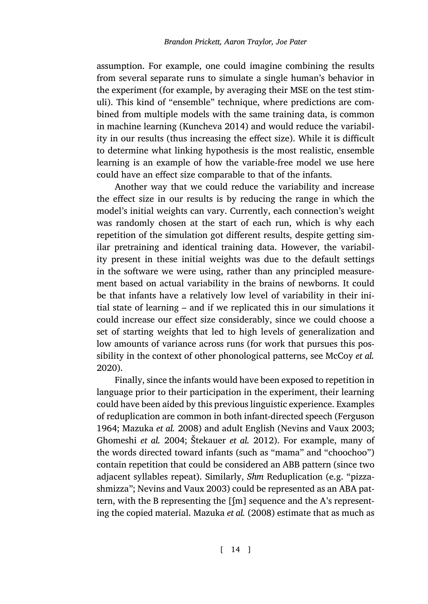assumption. For example, one could imagine combining the results from several separate runs to simulate a single human's behavior in the experiment (for example, by averaging their MSE on the test stimuli). This kind of "ensemble" technique, where predictions are combined from multiple models with the same training data, is common in machine learning (Kuncheva 2014) and would reduce the variability in our results (thus increasing the effect size). While it is difficult to determine what linking hypothesis is the most realistic, ensemble learning is an example of how the variable-free model we use here could have an effect size comparable to that of the infants.

Another way that we could reduce the variability and increase the effect size in our results is by reducing the range in which the model's initial weights can vary. Currently, each connection's weight was randomly chosen at the start of each run, which is why each repetition of the simulation got different results, despite getting similar pretraining and identical training data. However, the variability present in these initial weights was due to the def[ault settings](#page-35-5) [in the](#page-35-5) software we were using, rather than any principled measurement based on actual variability in the brains of newborns. It could be that infants have a relatively low level of variability in their initial state of learning – and if we replicated this in our simulations it could increase our effect size considerably, since we could [choose a](#page-33-6) [set of](#page-33-6) [starting weights th](#page-35-6)at led to high level[s of generalization and](#page-35-7) [low amounts of varian](#page-34-7)[ce across runs \(](#page-36-7)f[or wo](#page-36-7)rk that pursues this possibility in the context of other phonological patterns, see McCoy *et al.* 2020).

Finally, since the infants would have been exposed to repetition in language [prior to their participat](#page-35-7)ion in the experiment, their learning could have been aided by this previous linguistic experience. Examples of reduplication are co[mmon in both infant-d](#page-35-6)irected speech (Ferguson 1964; Mazuka *et al.* 2008) and adult English (Nevins and Vaux 2003; Ghomeshi *et al.* 2004; Štekauer *et al.* 2012). For example, many of the words directed toward infants (such as "mama" and "choochoo") contain repetition that could be considered an ABB pattern (since two adjacent syllables repeat). Similarly, *Shm* Reduplication (e.g. "pizzashmizza"; Nevins and Vaux 2003) could be represented as an ABA pattern, with the B representing the [ʃm] sequence and the A's representing the copied material. Mazuka *et al.* (2008) estimate that as much as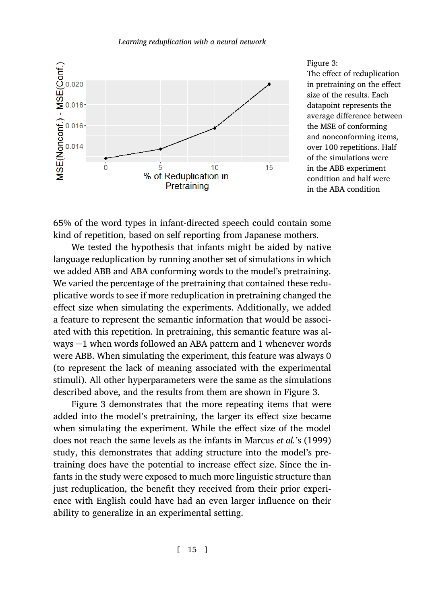

<span id="page-14-0"></span>Figure 3: The effect of reduplication in pretraining on the effect size of the results. Each datapoint represents the average difference between the MSE of conforming and nonconforming items, over 100 repetitions. Half of the simulations were in the ABB experiment condition and half were in the ABA condition

65% of the word types in infant-directed speech could contain some kind of repetition, based on self reporting from Japanese mothers.

We tested the hypothesis that infants might be aided by native language reduplication by running another set of simulations in which we added ABB and ABA conforming words to the model's pretraining. We varied the percentage of the pretraining that contained these reduplicative words to see if more reduplication in pretraining change[d](#page-14-0) the effect size [wh](#page-14-0)en simulating the experiments. Additionally, we added a feature to represent the semantic information that would be associated with this repetition. In pretraining, this semantic feature was always *−*1 when words followed an ABA pattern and 1 whenever words were ABB. When simulating the experiment, this feature was always 0 (to represent the lack of meaning associated with the experimental stimuli). All other hyperparameters were the same as the simulations described above, and the results from them are shown in Figure 3.

Figure 3 demonstrates that the more repeating items that were added into the model's pretraining, the larger its effect size became when simulating the experiment. While the effect size of the model does not reach the same levels as the infants in Marcus *et al.*'s (1999) study, this demonstrates that adding structure into the model's pretraining does have the potential to increase effect size. Since the infants in the study were exposed to much more linguistic structure than just reduplication, the benefit they received from their prior experience with English could have had an even larger influence on their ability to generalize in an experimental setting.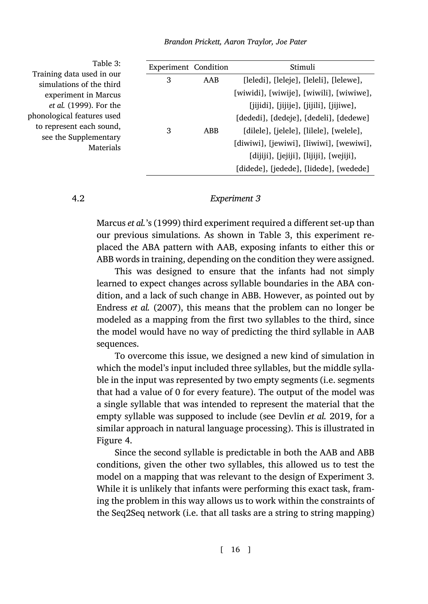<span id="page-15-0"></span>Table 3: Training data used in our simulations of the third experiment in Marcus *et al.* (1999). For the phonological features used to represent each sound, see the Supplementary Materials

| <b>Experiment</b> Condition |            | Stimuli                                   |
|-----------------------------|------------|-------------------------------------------|
| 3                           | AAB        | [leledi], [leleje], [leleli], [lelewe],   |
|                             |            | [wiwidi], [wiwije], [wiwili], [wiwiwe],   |
|                             |            | [jijidi], [jijije], [jijili], [jijiwe],   |
|                             |            | [dededi], [dedeje], [dedeli], [dedewe]    |
| 3                           | <b>ABB</b> | [dilele], [jelele], [lilele], [welele],   |
|                             |            | [diwiwi], [jewiwi], [liwiwi], [wewiwi],   |
|                             |            | $[dijiji], [jejiji], [lijiji], [wejiji],$ |
|                             |            | [didede], [jedede], [lidede], [wedede]    |

# 4.2 *Experiment 3*

Marcus *et al.*'s (1999) third experiment required a different set-up than our previous simulations. As shown in Table 3, this experiment replaced the ABA pattern with AAB, exposing infants to either this or ABB words in training, depending on the condition they were assigned.

This was designed to ensure that the infants had not simply learned to expect changes across syllable boundaries in the ABA condition, and a lack of such change in ABB. However, as pointed out by Endress *et al.* (2007), this means that the problem can no longer be modeled as a mapping from the first two syl[lables to the third,](#page-33-7) since the model would have no way of predicting the third syllable in AAB sequen[ce](#page-16-0)s.

To overcome this issue, we designed a new kind of simulation in which the model's input included three syllables, but the middle syllable in the input was represented by two empty segments (i.e. segments that had a value of 0 for every feature). The output of the model was a single syllable that was intended to represent the material that the empty syllable was supposed to include (see Devlin *et al.* 2019, for a similar approach in natural language processing). This is illustrated in Figure 4.

Since the second syllable is predictable in both the AAB and ABB conditions, given the other two syllables, this allowed us to test the model on a mapping that was relevant to the design of Experiment 3. While it is unlikely that infants were performing this exact task, framing the problem in this way allows us to work within the constraints of the Seq2Seq network (i.e. that all tasks are a string to string mapping)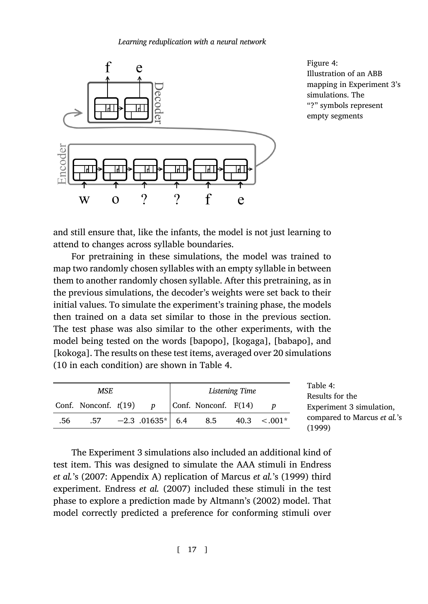

<span id="page-16-1"></span><span id="page-16-0"></span>Figure 4: Illustration of an ABB mapping in Experiment 3's simulations. The "?" symbols represent empty segments

and still ensure that, like the infants, the model is not just learning to attend to changes across syllable boundaries.

For pretraining in these simulations, the model was trained to map two randomly chosen syllables with a[n e](#page-16-1)mpty syllable in between them to another randomly chosen syllable. After this pretraining, as in the previous simulations, the decoder's weights were set back to their initial values. To simulate the experiment's training phase, the models then trained on a data set similar to those in the previous section. The test phase was also similar to the other experiments, with the model being tested on the words [bapopo], [kogaga], [babapo], and [kokoga]. The results on these test items, averaged over 20 simulations (10 in each condition) are shown in Table 4.

| MSE |                        |  |                    |  | Listening Time       |      |           | Table 4:<br>Results for the           |
|-----|------------------------|--|--------------------|--|----------------------|------|-----------|---------------------------------------|
|     | Conf. Nonconf. $t(19)$ |  | $\boldsymbol{p}$   |  | Conf. Nonconf. F(14) |      |           | Experiment 3 simulation,              |
| .56 | .57                    |  | $-2.3$ .01635* 6.4 |  | 8.5                  | 40.3 | $< 0.01*$ | compared to Marcus et al.'s<br>(1999) |

The Experiment 3 simulations also included an additional kind of test item. This was designed to simulate the AAA stimuli in Endress *et al.*'s (2007: Appendix A) replication of Marcus *et al.*'s (1999) third experiment. Endress *et al.* (2007) included these stimuli in the test phase to explore a prediction made by Altmann's (2002) model. That model correctly predicted a preference for conforming stimuli over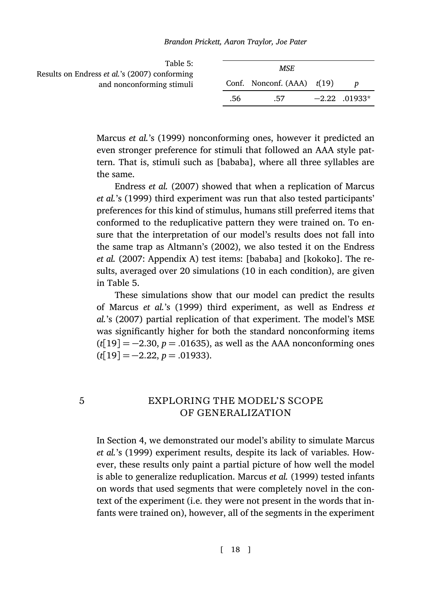*Brandon Prickett, Aaron Traylor, Joe Pater*

<span id="page-17-1"></span>

| Table 5:<br>Results on Endress <i>et al.</i> 's (2007) conforming | MSE. |                                |  |                 |
|-------------------------------------------------------------------|------|--------------------------------|--|-----------------|
| and nonconforming stimuli                                         |      | Conf. Nonconf. $(AAA)$ $t(19)$ |  |                 |
|                                                                   | .56  | .57                            |  | $-2.22$ .01933* |

Marcus *et al.*'s (1999) nonconforming ones, however it predicted an even stronger pr[eference f](#page-32-3)or [stimu](#page-32-3)li that followed an AAA style pattern. That is, stimuli such as [bababa], where all three syllables are the same.

End[re](#page-17-1)ss *et al.* (2007) showed that when a replication of Marcus *et al.*'s (1999) third experiment was run that also tested participants' preferences for this kind of stimulus, humans still preferred items that conformed to the reduplicative pattern they were trained on. To ensure that the interpretation of our model's results does not fall into the same trap as Altmann's (2002), we also tested it on the Endress *et al.* (2007: Appendix A) test items: [bababa] and [kokoko]. The results, averaged over 20 simulations (10 in each condition), are given in Table 5.

<span id="page-17-0"></span>These simulations show that our model can predict the results of Marcus *et al.*'s (1999) third experiment, as well as Endress *et al.*'s (2007) partial replication of that experiment. The model's MSE was significantly higher for both the standard nonconforming items (*t*[19] = *−*[2](#page-9-0).30, *p* = .01635), as well as the AAA nonconforming ones (*t*[19] = *−*2.22, *p* = .01933).

# 5 EXPLORING THE MODEL'S SCOPE OF GENERALIZATION

In Section 4, we demonstrated our model's ability to simulate Marcus *et al.*'s (1999) experiment results, despite its lack of variables. However, these results only paint a partial picture of how well the model is able to generalize reduplication. Marcus *et al.* (1999) tested infants on words that used segments that were completely novel in the context of the experiment (i.e. they were not present in the words that infants were trained on), however, all of the segments in the experiment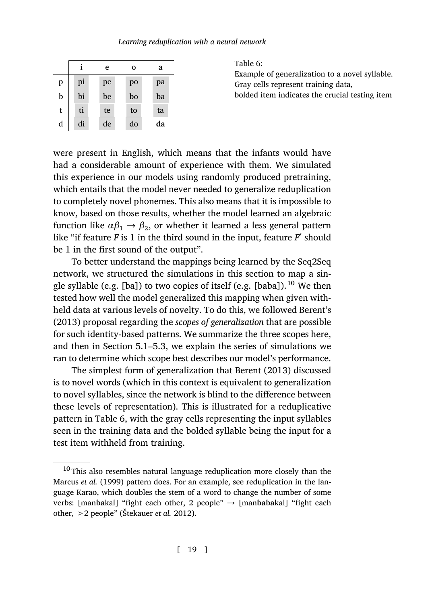|  | Learning reduplication with a neural network |  |  |  |
|--|----------------------------------------------|--|--|--|
|--|----------------------------------------------|--|--|--|

|   |    | e  | о  | a  |
|---|----|----|----|----|
| p | pi | pe | po | pa |
| b | bi | be | bo | ba |
| t | ti | te | to | ta |
| d | di | de | do | da |

<span id="page-18-0"></span>Table 6: Example of generalization to a novel syllable. Gray cells represent training data,

bolded item indicates the crucial testing item

were present in English, which means that the infants would have had a considerable amount of experience with them. We simulated this experience in our models using randomly produced pretraining, which entails that the model never needed to generalize reduplication to completely novel phonemes. This also means that it is impossible to know, based on those results, whether the model learned ana[lgebrai](#page-32-0)c f[unctio](#page-32-0)n like  $\alpha\beta_1 \rightarrow \beta_2$ , or whether it learned a less general pattern like "if feature *F* is 1 in the third sound in the input, feature *F ′* should be 1 in the first sou[nd o](#page-22-0)f [the](#page-23-0) output".

To better understand the mappings being learned by the Seq2Seq network, we structured the simulations in this section to map a single syllable (e.g. [ba]) to two copies of itself (e.g. [baba]).<sup>10</sup> We then tested how well the model generalized this mapping when given withheld data at various levels of novelty. To do this, we followed Berent's (2013) proposal [re](#page-18-0)garding the *scopes of generalization* that are possible for such identity-based patterns. We summarize the three scopes here, and then in Section 5.1–5.3, we explain the series of simulations we ran to determine which scope best describes our model's performance.

The simplest form of generalization that Berent (2013) discussed is to novel words (which in this context is equivalent to generalization to novel syllables, since the network is blind to the difference between these levels of representation). This is illustrated for a reduplicative pattern in Table [6, with the gray ce](#page-36-7)lls representing the input syllables seen in the training data and the bolded syllable being the input for a test item withheld from training.

<sup>&</sup>lt;sup>10</sup> This also resembles natural language reduplication more closely than the Marcus *et al.* (1999) pattern does. For an example, see reduplication in the language Karao, which doubles the stem of a word to change the number of some verbs: [man**ba**kal] "fight each other, 2 people" *→* [man**baba**kal] "fight each other, >2 people" (Štekauer *et al.* 2012).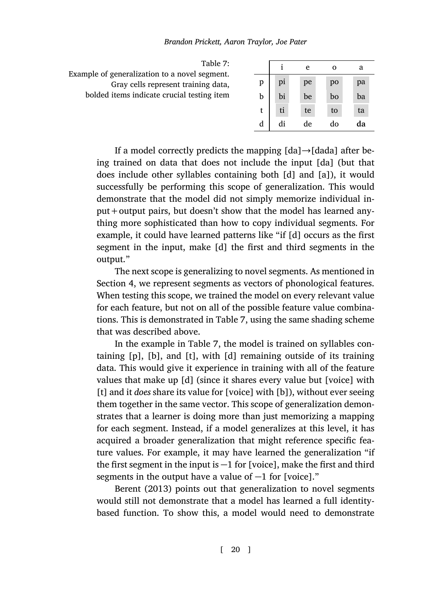<span id="page-19-0"></span>

| Table 7:                                                                             |   |    | e  | Ω  | а  |
|--------------------------------------------------------------------------------------|---|----|----|----|----|
| Example of generalization to a novel segment.<br>Gray cells represent training data, | р | pi | pe | po | pa |
| bolded items indicate crucial testing item                                           | b | bi | be | bo | ba |
|                                                                                      |   | ti | te | to | ta |
|                                                                                      | d | di | de | do | da |

*Brandon Prickett, Aaron Traylor, Joe Pater*

If a model correctly predicts the mapping [da]*→*[dada] after being trained on data that does not include the input [da] (but that does include other syllables containing both [d] and [a]), it would successf[ul](#page-9-0)ly be performing this scope of generalization. This would demonstrate that the model did not simply memorize individual input+output pairs, but doesn't show that the model has learned anything more sophisticated than how [to](#page-19-0) copy individual segments. For example, it could have learned patterns like "if [d] occurs as the first segment in the input, make [\[](#page-19-0)d] the first and third segments in the output."

The next scope is generalizing to novel segments. As mentioned in Section 4, we represent segments as vectors of phonological features. When testing this scope, we trained the model on every relevant value for each feature, but not on all of the possible feature value combinations. This is demonstrated in Table 7, using the same shading scheme that was described above.

In the example in Table 7, the model is trained on syllables containing [p], [b], and [t], with [d] remaining outside of its training data. This would give it experience in training with all of the feature values that make up [d] (since it shares every value but [voice] with [t]a[nd it](#page-32-0) *does* [shar](#page-32-0)e its value for [voice] with [b]), without ever seeing them together in the same vector. This scope of generalization demonstrates that a learner is doing more than just memorizing a mapping for each segment. Instead, if a model generalizes at this level, it has acquired a broader generalization that might reference specific feature values. For example, it may have learned the generalization "if the first segment in the input is *−*1 for [voice], make the first and third segments in the output have a value of *−*1 for [voice]."

Berent (2013) points out that generalization to novel segments would still not demonstrate that a model has learned a full identitybased function. To show this, a model would need to demonstrate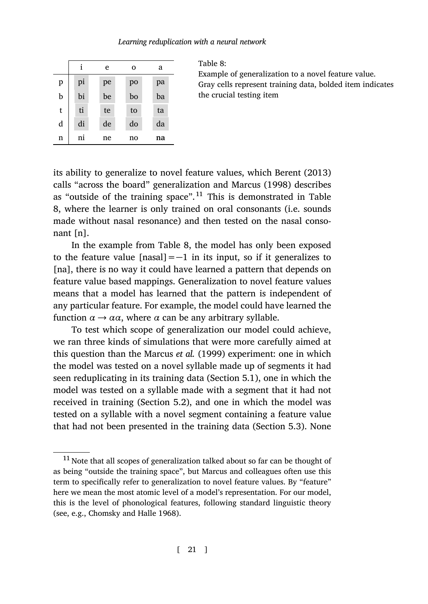|   |    | e  | $\mathbf 0$ | a  |
|---|----|----|-------------|----|
| p | pi | pe | po          | pa |
| b | bi | be | bo          | ba |
| t | ti | te | to          | ta |
| d | di | de | do          | da |
| n | ni | ne | no          | na |

Table 8:

Example of generaliz[ation to a novel](#page-32-0) feature value. Gray cells represent training data, bolded item indicates the crucial testing item

its ability to generalize to novel feature values, which Berent (2013) calls "across the board" generalization and Marcus (1998) describes as "outside of the training space".<sup>11</sup> This is demonstrated in Table 8, where the learner is only trained on oral consonants (i.e. sounds made without nasal resonance) and then tested on the nasal consonant [n].

In the example from Table 8, the model has only been exposed to the feature value [nasal]=*−*1 in its input, so if it generalizes to [na], there is no way it could have learned a pattern that depends on feature value based mappings. Generalization [to n](#page-22-0)ovel feature values means that a model has learned that the pattern is independent of any particular feature. For ex[amp](#page-22-1)le, the model could have learned the function  $\alpha \rightarrow \alpha \alpha$ , where  $\alpha$  can be any arbitrary syllable.

To test which scope of generalization our model cou[ld a](#page-23-0)chieve, we ran three kinds of simulations that were more carefully aimed at this question than the Marcus *et al.* (1999) experiment: one in which the model was tested on a novel syllable made up of segments it had seen reduplicating in its training data (Section 5.1), one in which the model was tested on a syllable made with a segment that it had not received in training (Section 5.2), and one in which the model was tested o[n a syllable with a nov](#page-32-7)el segment containing a feature value that had not been presented in the training data (Section 5.3). None

 $^{11}$  Note that all scopes of generalization talked about so far can be thought of as being "outside the training space", but Marcus and colleagues often use this term to specifically refer to generalization to novel feature values. By "feature" here we mean the most atomic level of a model's representation. For our model, this is the level of phonological features, following standard linguistic theory (see, e.g., Chomsky and Halle 1968).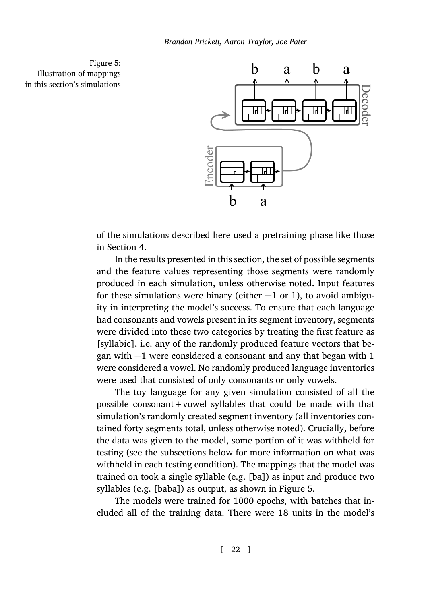<span id="page-21-0"></span>Figure 5: Illustration of mappings in this section's simulations



of the simulations described here used a pretraining phase like those in Section 4.

In the results presented in this section, the set of possible segments and the feature values representing those segments were randomly produced in each simulation, unless otherwise noted. Input features for these simulations were binary (either *−*1 or 1), to avoid ambiguity in interpreting the model's success. To ensure that each language had consonants and vowels present in its segment inventory, segments were divided into these two categories by treating the first feature as [syllabic], i.e. any of the randomly produced feature vectors that began with *−*1 were considered a consonant and any that began with 1 were considered a vowel. No randomly produced language inventories were used that consisted of only consonants or only vowels.

The toy language for any given simulation co[ns](#page-21-0)isted of all the possible consonant+vowel syllables that could be made with that simulation's randomly created segment inventory (all inventories contained forty segments total, unless otherwise noted). Crucially, before the data was given to the model, some portion of it was withheld for testing (see the subsections below for more information on what was withheld in each testing condition). The mappings that the model was trained on took a single syllable (e.g. [ba]) as input and produce two syllables (e.g. [baba]) as output, as shown in Figure 5.

The models were trained for 1000 epochs, with batches that included all of the training data. There were 18 units in the model's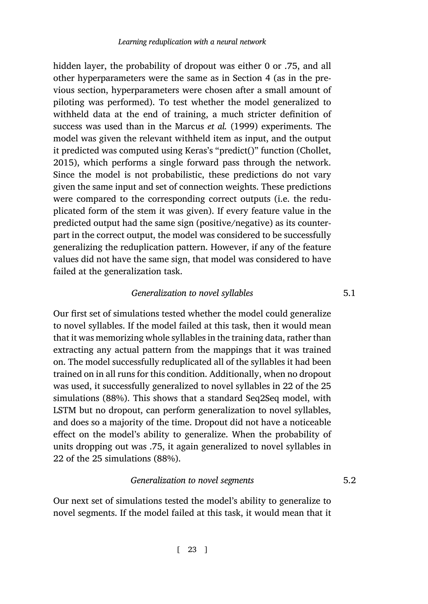hidden layer, the probability of dropout was either 0 or .75, and all other hyperparameters were the same as in Section 4 (as in the previous section, hyperparameters were chosen after a small amount of piloting was performed). To test whether the model generalized to withheld data at the end of training, a much stricter definition of success was used than in the Marcus *et al.* (1999) experiments. The model was given the relevant withheld item as input, and the output it predicted was computed using Keras's "predict()" function (Chollet, 2015), which performs a single forward pass through the network. Since the model is not probabilistic, these predictions do not vary given the same input and set of connection weights. These predictions were compared to the corresponding correct outputs (i.e. the reduplicated form of the stem it was given). If every feature value in the predicted output had the same sign (positive/negative) as its counterpart in the correct output, the model was considered to be successfully generalizing the reduplication pattern. However, if any of the feature values did not have the same sign, that model was considered to have failed at the generalization task.

# *Generalization to novel syllables* 5.1

<span id="page-22-1"></span><span id="page-22-0"></span>Our first set of simulations tested whether the model could generalize to novel syllables. If the model failed at this task, then it would mean that it was memorizing whole syllables in the training data, rather than extracting any actual pattern from the mappings that it was trained on. The model successfully reduplicated all of the syllables it had been trained on in all runs for this condition. Additionally, when no dropout was used, it successfully generalized to novel syllables in 22 of the 25 simulations (88%). This shows that a standard Seq2Seq model, with LSTM but no dropout, can perform generalization to novel syllables, and does so a majority of the time. Dropout did not have a noticeable effect on the model's ability to generalize. When the probability of units dropping out was .75, it again generalized to novel syllables in 22 of the 25 simulations (88%).

### *Generalization to novel segments* 5.2

Our next set of simulations tested the model's ability to generalize to novel segments. If the model failed at this task, it would mean that it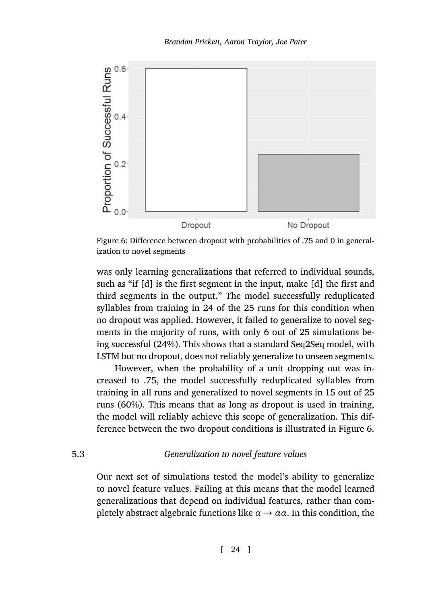<span id="page-23-1"></span>

Figure 6: Difference between dropout with probabilities of .75 and 0 in generalization to novel segments

was only learning generalizations that referred to individual sounds, such as "if [d] is the first segment in the input, make [d] the first and third segments in the output." The model successfully reduplicated syllables from training in 24 of the 25 runs for this condition when no dropout was applied. However, it failed to generalize to novel segments in the majority of runs, with only 6 out of 25 simulations [be](#page-23-1)ing successful (24%). This shows that a standard Seq2Seq model, with LSTM but no dropout, does not reliably generalize to unseen segments.

<span id="page-23-0"></span>However, when the probability of a unit dropping out was increased to .75, the model successfully reduplicated syllables from training in all runs and generalized to novel segments in 15 out of 25 runs (60%). This means that as long as dropout is used in training, the model will reliably achieve this scope of generalization. This difference between the two dropout conditions is illustrated in Figure 6.

# 5.3 *Generalization to novel feature values*

Our next set of simulations tested the model's ability to generalize to novel feature values. Failing at this means that the model learned generalizations that depend on individual features, rather than completely abstract algebraic functions like  $\alpha \rightarrow \alpha \alpha$ . In this condition, the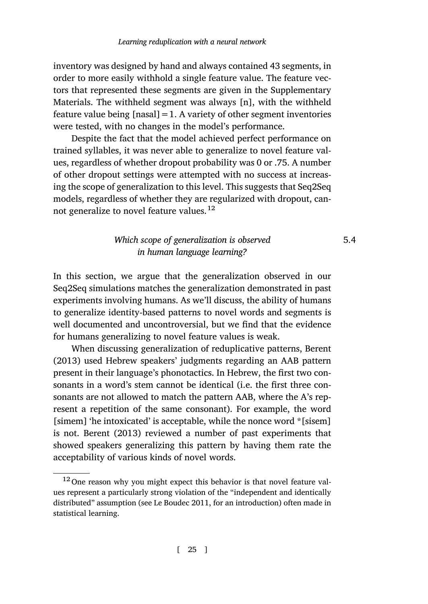inventory was designed by hand and always contained 43 segments, in order to more easily withhold a single feature value. The feature vectors that represented these segments are given in the Supplementary Materials. The withheld segment was always [n], with the withheld feature value being  $[nasal]=1$ . A variety of other segment inventories were tested, with no changes in the model's performance.

Despite the fact that the model achieved perfect performance on trained syllables, it was never able to generalize to novel feature values, regardless of whether dropout probability was 0 or .75. A number of other dropout settings were attempted with no success at increasing the scope of generalization to this level. This suggests that Seq2Seq models, regardless of whether they are regularized with dropout, cannot generalize to novel feature values.<sup>12</sup>

# *Which scope of generalization is observed* 5.4 *in human language learning?*

In this section, we argue that the generalization observed in our Seq2Seq simulations matches the generalization demonstrated in past experiments involving humans. As we'll discuss, the ability of humans to generalize identity-based patterns to novel words and segments is well documented and uncontroversial, but we find that the evidence for hu[mans ge](#page-32-0)n[eraliz](#page-32-0)ing to novel feature values is weak.

When discussing generalization of reduplicative patterns, Berent (2013) used Hebrew speakers' judgments regarding an AAB pattern present in their language's phonotactics. In Hebrew, the first two consonants in a word's stem cannot be identical (i.e. the first three consonants are not allowed to match the pattern AAB, where the A's represent a repetition of th[e same conso](#page-35-8)nant). For example, the word [simem] 'he intoxicated' is acceptable, while the nonce word \*[sisem] is not. Berent (2013) reviewed a number of past experiments that showed speakers generalizing this pattern by having them rate the acceptability of various kinds of novel words.

<sup>12</sup> One reason why you might expect this behavior is that novel feature values represent a particularly strong violation of the "independent and identically distributed" assumption (see Le Boudec 2011, for an introduction) often made in statistical learning.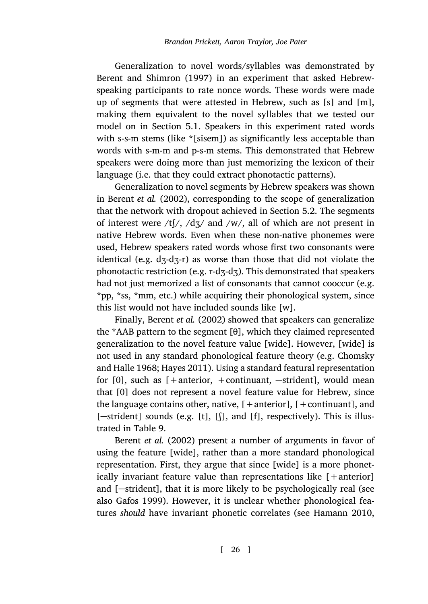Generalization to novel words/syllables was demonstrated by Berent and Shimron (1997) in an experiment that asked Hebrewspeaking participants to rate nonce words. These words were made up [of segments that w](#page-32-8)ere attested in Hebrew, such as [s] and [m], making them equivalent to the novel syllables t[hat](#page-22-1) we tested our model on in Section 5.1. Speakers in this experiment rated words with s-s-m stems (like \*[sisem]) as significantly less acceptable than words with s-m-m and p-s-m stems. This demonstrated that Hebrew speakers were doing more than just memorizing the lexicon of their language (i.e. that they could extract phonotactic patterns).

Generalization to novel segments by Hebrew speakers was shown in Berent *et al.* (2002), corresponding to the scope of generalization that the network with dropout achieved in Section 5.2. The segments of interest were  $/tf$ ,  $/dz/dz$  and  $/w$ , all of which are not present in native Hebrew words. Even when these non-native phonemes were used, Hebrew speakers rated words whose first two consonants were identical (e.g. dʒ-dʒ-r) as worse than those that did not v[iolate the](#page-32-7) [phonotactic res](#page-32-7)t[riction \(e.g.](#page-34-8) r-dʒ-dʒ). This demonstrated that speakers had not just memorized a list of consonants that cannot cooccur (e.g. \*pp, \*ss, \*mm, etc.) while acquiring their phonological system, since this list would not have included sounds like [w].

Finally, Berent *et al.* (2002) showed that speakers can generalize the \*AAB patte[rn](#page-26-0) to the segment [θ], which they claimed represented gen[eralization to](#page-32-8) t[he no](#page-32-8)vel feature value [wide]. However, [wide] is not used in any standard phonological feature theory (e.g. Chomsky and Halle 1968; Hayes 2011). Using a standard featural representation for [θ], such as [+anterior, +continuant, *−*strident], would mean that [θ] does not represent a novel feature value for Hebrew, since thel[anguage con](#page-33-8)tains other, native,  $[+$ anterior],  $[+$ continuant], and [*−*strident] sounds (e.g. [t], [ʃ], and [f], respectivel[y\). This is illus](#page-34-9)trated in Table 9.

Berent *et al.* (2002) present a number of arguments in favor of using the feature [wide], rather than a more standard phonological representation. First, they argue that since [wide] is a more phonetically invariant feature value than representations like [+anterior] and [*−*strident], that it is more likely to be psychologically real (see also Gafos 1999). However, it is unclear whether phonological features *should* have invariant phonetic correlates (see Hamann 2010,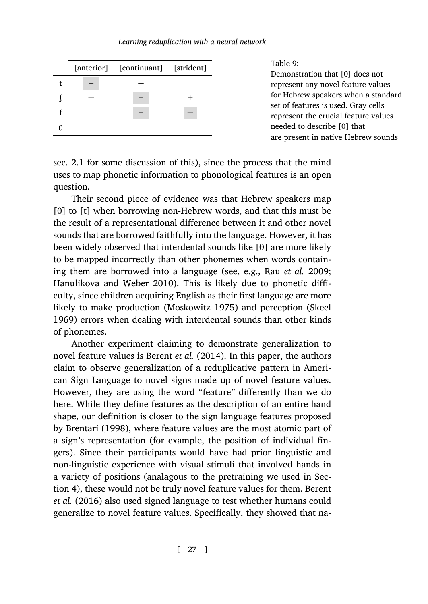|  | [anterior] [continuant] [strident] |  |
|--|------------------------------------|--|
|  |                                    |  |
|  |                                    |  |
|  |                                    |  |
|  |                                    |  |

<span id="page-26-0"></span>Table 9:

Demonstration that [θ] does not represent any novel feature values for Hebrew speakers when a standard set of features is used. Gray cells represent the crucial feature values needed to describe [θ] that are present in native Hebrew sounds

sec. 2.1 for some discussion of this), since the process that the mind uses to map phonetic inf[ormat](#page-34-10)ion to phonological fe[atures is an open](#page-36-8) [question.](#page-34-10)

Their second piece of evidence was that Hebrew speakers map [θ] to [t] when borrowing [non-Hebrew word](#page-35-9)s, and that this m[ust be](#page-36-9) [the re](#page-36-9)sult of a representational difference between it and other novel sounds that are borrowed faithfully into the language. However, it has been widely observed that interdental sounds like [θ] are more likely to be mapped incorrec[tly than othe](#page-32-9)r [phon](#page-32-9)emes when words containing them are borrowed into a language (see, e.g., Rau *et al.* 2009; Hanulikova and Weber 2010). This is likely due to phonetic difficulty, since children acquiring English as their first language are more likely to make production (Moskowitz 1975) and perception (Skeel 1969) errors when dealing with interdental sounds than other kinds of phonemes.

Another experiment claiming to demonstrate generalization to novel feature values is Berent *et al.* (2014). In this paper, the authors claim to observe generalization of a reduplicative pattern in American Sign Language to novel signs made up of novel feature values. Ho[we](#page-9-0)ver, they are using the word "feature" differently than [we do](#page-32-10) [here. While](#page-32-10) they define features as the description of an entire hand shape, our definition is closer to the sign language features proposed by Brentari (1998), where feature values are the most atomic part of a sign's representation (for example, the position of individual fingers). Since their participants would have had prior linguistic and non-linguistic experience with visual stimuli that involved hands in a variety of positions (analagous to the pretraining we used in Section 4), these would not be truly novel feature values for them. Berent *et al.* (2016) also used signed language to test whether humans could generalize to novel feature values. Specifically, they showed that na-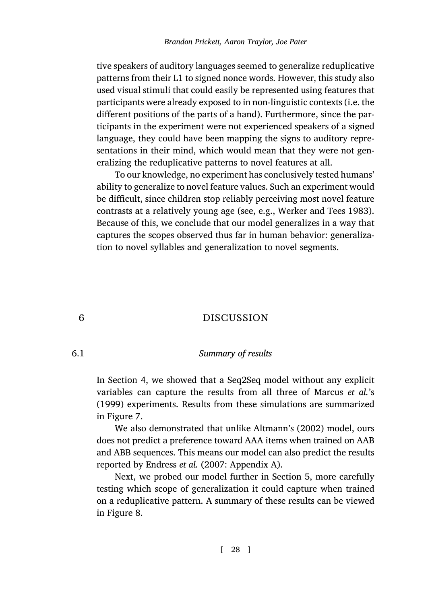tive speakers of auditory languages seemed to generalize reduplicative patterns from their L1 to signed nonce words. However, this study also used visual stimuli that could easily be represented using features that participants were already exposed to in non-linguistic contexts (i.e. the different positions of the parts of a hand). Fu[rthermore, since the par](#page-37-2)ticipants in the experiment were not experienced speakers of a signed language, they could have been mapping the signs to auditory representations in their mind, which would mean that they were not generalizing the reduplicative patterns to novel features at all.

<span id="page-27-0"></span>To our knowledge, no experiment has conclusively tested humans' ability to generalize to novel feature values. Such an experiment would be difficult, since children stop reliably perceiving most novel feature contrasts at a relatively young age (see, e.g., Werker and Tees 1983). Because of this, we conclude that our model generalizes in a way that captures the scopes observed thus far in human behavior: generalization to novel syllables and generalization to novel segments.

# 6 DISCUSSION

# 6.1 *Summary of results*

In Section 4, we showed that a Seq2Seq model wi[th](#page-17-0)out any explicit variables can capture the results from all three of Marcus *et al.*'s (1999) experiments. Results from these simulations are summarized in Figure [7](#page-28-0).

We also demonstrated that unlike Altmann's (2002) model, ours does not predict a preference toward AAA items when trained on AAB and ABB sequences. This means our model can also predict the results reported by Endress *et al.* (2007: Appendix A).

Next, we probed our model further in Section 5, more carefully testing which scope of generalization it could capture when trained on a reduplicative pattern. A summary of these results can be viewed in Figure 8.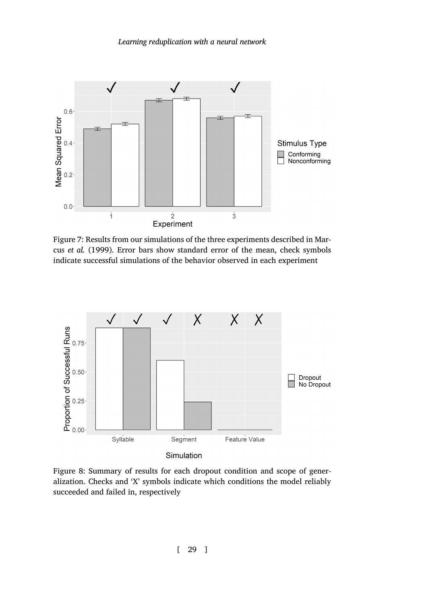

Figure 7: Results from our simulations of the three experiments described in Marcus *et al.* (1999). Error bars show standard error of the mean, check symbols indicate successful simulations of the behavior observed in each experiment



<span id="page-28-0"></span>Figure 8: Summary of results for each dropout condition and scope of generalization. Checks and 'X' symbols indicate which conditions the model reliably succeeded and failed in, respectively

[ 29 ]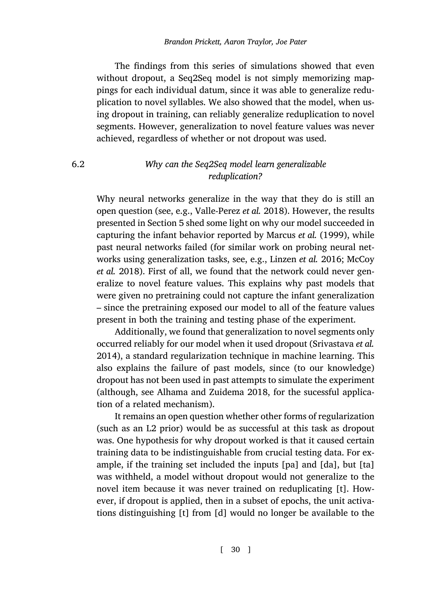The findings from this series of simulations showed that even without dropout, a Seq2Seq model is not simply memorizing mappings for each individual datum, since it was able to generalize reduplication to novel syllables. We also showed that the model, when using dropout in training, [can reliably generalize](#page-37-3) reduplication to novel segments. However, [g](#page-17-0)eneralization to novel feature values was never achieved, regardless of whether or not dropout was used.

# 6.2 *Why can the Seq2Seq model lear[n generalizable](#page-35-10) reduplication?*

Why neural networks generalize in the way that they do is still an open question (see, e.g., Valle-Perez *et al.* 2018). However, the results presented in Section 5 shed some light on why our model succeeded in capturing the infant behavior reported by Marcus *et al.* (1999), while past neural networks failed (for similar work on pro[bing neural net](#page-36-6)[works](#page-36-6) using generalization tasks, see, e.g., Linzen *et al.* 2016; McCoy *et al.* 2018). First of all, we found that the network could never generalize to novel feature values. This explains why past models that were given no [pretraining could not captur](#page-32-1)e the infant generalization – since the pretraining exposed our model to all of the feature values present in both the training and testing phase of the experiment.

Additionally, we found that generalization to novel segments only occurred reliably for our model when it used dropout (Srivastava *et al.* 2014), a standard regularization technique in machine learning. This also explains the failure of past models, since (to our knowledge) dropout has not been used in past attempts to simulate the experiment (although, see Alhama and Zuidema 2018, for the sucessful application of a related mechanism).

It remains an open question whether other forms of regularization (such as an L2 prior) would be as successful at this task as dropout was. One hypothesis for why dropout worked is that it caused certain training data to be indistinguishable from crucial testing data. For example, if the training set included the inputs [pa] and [da], but [ta] was withheld, a model without dropout would not generalize to the novel item because it was never trained on reduplicating [t]. However, if dropout is applied, then in a subset of epochs, the unit activations distinguishing [t] from [d] would no longer be available to the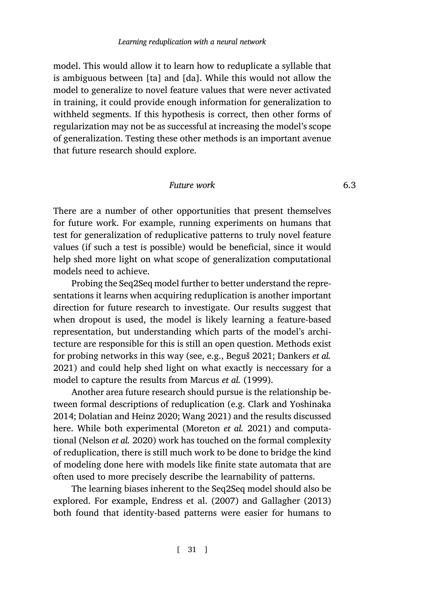model. This would allow it to learn how to reduplicate a syllable that is ambiguous between [ta] and [da]. While this would not allow the model to generalize to novel feature values that were never activated in training, it could provide enough information for generalization to withheld segments. If this hypothesis is correct, then other forms of regularization may not be as successful at increasing the model's scope of generalization. Testing these other methods is an important avenue that future research should explore.

# *Future work* 6.3

There are a number of other opportunities that present themselves for future work. For example, running experiments on humans that test for generalization of reduplicative patterns to truly novel feature values (if such a test is possible) would be beneficial, since it would help shed more light on what scope of ge[neralization](#page-32-5)c[omputational](#page-33-9) [mode](#page-33-9)ls need to achieve.

Probing the Seq2Seq model fu[rther to bette](#page-35-0)r [under](#page-35-0)stand the representations it learns when acquiring reduplication is another important direction for future research to investigate. Ou[r results suggest that](#page-33-3) [when](#page-33-3) [dropout is used, the mo](#page-33-5)[del is likely](#page-37-4) learning a feature-based representation, but understandi[ng which parts of the](#page-35-11) model's architecture [are responsible fo](#page-35-3)r this is still an open question. Methods exist for probing networks in this way (see, e.g., Beguš 2021; Dankers *et al.* 2021) and could help shed light on what exactly is neccessary for a model to capture the results from Marcus *et al.* (1999).

Another area future research should pursue is the relationship between formal descriptions of reduplication (e.g. Clark and Yoshinaka 2014; Dolatian and Heinz 2020; Wang 2021) and the results discussed here. While both experimental (Moreton *et al.* 2021) and computational (Nelson *et al.* 2020) work has touched on the formal complexity of reduplication, there is still much work to be done to bridge the kind of modeling done here with models like finite state automata that are often used to more precisely describe the learnability of patterns.

The learning biases inherent to the Seq2Seq model should also be explored. For example, Endress et al. (2007) and Gallagher (2013) both found that identity-based patterns were easier for humans to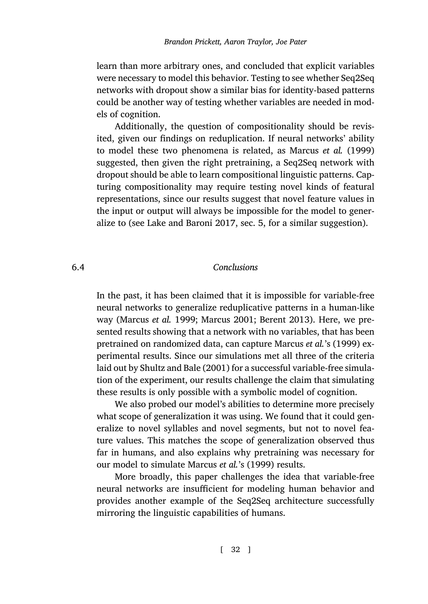learn than more arbitrary ones, and concluded that explicit variables were necessary to model this behavior. Testing to see whether Seq2Seq networks with dropout show a similar bias for identity-based patterns could be another way of testing whether variables are needed in models of cognition.

<span id="page-31-0"></span>Additio[nally, the question of](#page-34-2) compositionality should be revisited, given our findings on reduplication. If neural networks' ability to model these two phenomena is related, as Marcus *et al.* (1999) suggested, then given the right pretraining, a Seq2Seq network with dropout should be able to learn compositional linguistic patterns. Capturing compositionality may require testing novel kinds of featural representations, since our results suggest that novel feature values in the input or output will always be impossible for the model to generalize [to \(see](#page-35-0) Lake a[nd Ba](#page-35-0)roni [2017, sec.](#page-35-12) [5, for a simila](#page-32-0)r suggestion).

# 6.4 *[Con](#page-36-0)clusions*

In the past, it has been claimed that it is impossible for variable-free neural networks to generalize reduplicative patterns in a human-like way (Marcus *et al.* 1999; Marcus 2001; Berent 2013). Here, we presented results showing that a network with no variables, that has been pretrained on randomized data, can capture Marcus *et al.*'s (1999) experimental results. Since our simulations met all three of the criteria laid out by Shultz and Bale (2001) for a successful variable-free simulation of the experiment, our results challenge the claim that simulating these results is only possible with a symbolic model of cognition.

We also probed our model's abilities to determine more precisely what scope of generalization it was using. We found that it could generalize to novel syllables and novel segments, but not to novel feature values. This matches the scope of generalization observed thus far in humans, and also explains why pretraining was necessary for our model to simulate Marcus *et al.*'s (1999) results.

More broadly, this paper challenges the idea that variable-free neural networks are insufficient for modeling human behavior and provides another example of the Seq2Seq architecture successfully mirroring the linguistic capabilities of humans.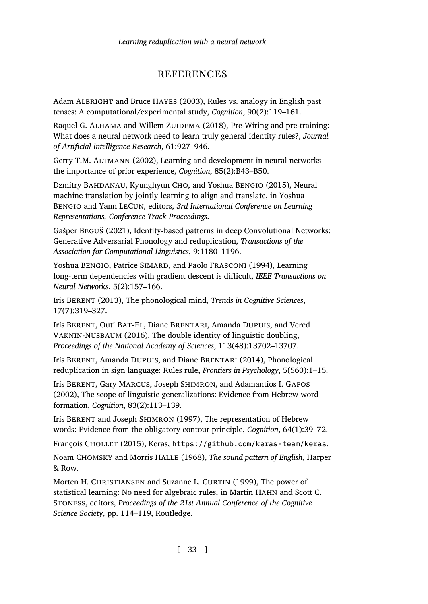# REFERENCES

<span id="page-32-4"></span><span id="page-32-3"></span><span id="page-32-1"></span>Adam ALBRIGHT and Bruce HAYES (2003), Rules vs. analogy in English past tenses: A computational/experimental study, *Cognition*, 90(2):119–161.

<span id="page-32-5"></span>Raquel G. ALHAMA and Willem ZUIDEMA (2018), Pre-Wiring and pre-training: What does a neural network need to learn truly general identity rules?, *Journal of Artificial Intelligence Research*, 61:927–946.

Gerry T.M. ALTMANN (2002), Learning and development in neural networks – the importance of prior experience, *Cognition*, 85(2):B43–B50.

<span id="page-32-0"></span>Dzmitry BAHDANAU, Kyunghyun CHO, and Yoshua BENGIO (2015), Neural machine translation by jointly learning to align and translate, in Yoshua BENGIO and Yann LECUN, editors, *3rd International Conference on Learning Representations, Conference Track Proceedings*.

<span id="page-32-10"></span>Gašper BEGUŠ (2021), Identity-based patterns in deep Convolutional Networks: Generative Adversarial Phonology and reduplication, *Transactions of the Association for Computational Linguistics*, 9:1180–1196.

<span id="page-32-9"></span><span id="page-32-8"></span>Yoshua BENGIO, Patrice SIMARD, and Paolo FRASCONI (1994), Learning long-term dependencies with gradient descent is difficult, *IEEE Transactions on Neural Networks*, 5(2):157–166.

Iris BERENT (2013), The phonological mind, *Trends in Cognitive Sciences*, 17(7):319–327.

<span id="page-32-6"></span>Iris BERENT, Outi BAT-EL, Diane BRENTARI, Amanda DUPUIS, and Vered VAKNIN-NUSBAUM (2016), The double identity of linguistic doubling, *Proceedings of the National Academy of Sciences*[, 113\(48\):13702–13707.](https://github.com/keras-team/keras)

<span id="page-32-7"></span>Iris BERENT, Amanda DUPUIS, and Diane BRENTARI (2014), Phonological reduplication in sign language: Rules rule, *Frontiers in Psychology*, 5(560):1–15.

<span id="page-32-2"></span>Iris BERENT, Gary MARCUS, Joseph SHIMRON, and Adamantios I. GAFOS (2002), The scope of linguistic generalizations: Evidence from Hebrew word formation, *Cognition*, 83(2):113–139.

Iris BERENT and Joseph SHIMRON (1997), The representation of Hebrew words: Evidence from the obligatory contour principle, *Cognition*, 64(1):39–72.

François CHOLLET (2015), Keras, https://github.com/keras-team/keras.

Noam CHOMSKY and Morris HALLE (1968), *The sound pattern of English*, Harper & Row.

Morten H. CHRISTIANSEN and Suzanne L. CURTIN (1999), The power of statistical learning: No need for algebraic rules, in Martin HAHN and Scott C. STONESS, editors, *Proceedings of the 21st Annual Conference of the Cognitive Science Society*, pp. 114–119, Routledge.

[ 33 ]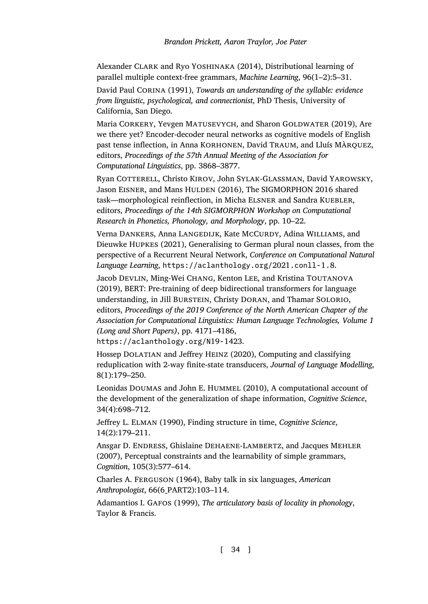<span id="page-33-4"></span><span id="page-33-3"></span>Alexander CLARK and Ryo YOSHINAKA (2014), Distributional learning of parallel multiple context-free grammars, *Machine Learning*, 96(1–2):5–31.

David Paul CORINA (1991), *Towards an understanding of the syllable: evidence from linguistic, psychological, and connectionist*, PhD Thesis, University of California, San Diego.

<span id="page-33-9"></span>Maria CORKERY, Yevgen MATUSEVYCH, and Sharon GOLDWATER (2019), Are we there yet? Encoder-decoder neural networks as cognitive models of English past tense inflection, in Anna KORHONEN, David TRAUM, and Lluís MÀRQUEZ, editors, *Proceedings of the 57th Annual Meeting of the Association for Computational Linguistics*[, pp. 3868–3877.](https://aclanthology.org/2021.conll-1.8)

<span id="page-33-7"></span>Ryan COTTERELL, Christo KIROV, John SYLAK-GLASSMAN, David YAROWSKY, Jason EISNER, and Mans HULDEN (2016), The SIGMORPHON 2016 shared task—morphological reinflection, in Micha ELSNER and Sandra KUEBLER, editors, *Proceedings of the 14th SIGMORPHON Workshop on Computational Research in Phonetics, Phonology, and Morphology*, pp. 10–22.

<span id="page-33-5"></span>Verna DANKERS, Anna LANGEDIJK, Kate MCCURDY, Adina WILLIAMS, and [Dieuwke HUPKES \(2021\), Generalising to](https://aclanthology.org/N19-1423) German plural noun classes, from the perspective of a Recurrent Neural Network, *Conference on Computational Natural Language Learning*, https://aclanthology.org/2021.conll-1.8.

<span id="page-33-2"></span>Jacob DEVLIN, Ming-Wei CHANG, Kenton LEE, and Kristina TOUTANOVA (2019), BERT: Pre-training of deep bidirectional transformers for language understanding, in Jill BURSTEIN, Christy DORAN, and Thamar SOLORIO, editors, *Proceedings of the 2019 Conference of the North American Chapter of the Association for Computational Linguistics: Human Language Technologies, Volume 1 (Long and Short Papers)*, pp. 4171–4186,

<span id="page-33-1"></span><span id="page-33-0"></span>https://aclanthology.org/N19-1423.

Hossep DOLATIAN and Jeffrey HEINZ (2020), Computing and classifying reduplication with 2-way finite-state transducers, *Journal of Language Modelling*, 8(1):179–250.

<span id="page-33-8"></span><span id="page-33-6"></span>Leonidas DOUMAS and John E. HUMMEL (2010), A computational account of the development of the generalization of shape information, *Cognitive Science*, 34(4):698–712.

Jeffrey L. ELMAN (1990), Finding structure in time, *Cognitive Science*, 14(2):179–211.

Ansgar D. ENDRESS, Ghislaine DEHAENE-LAMBERTZ, and Jacques MEHLER (2007), Perceptual constraints and the learnability of simple grammars, *Cognition*, 105(3):577–614.

Charles A. FERGUSON (1964), Baby talk in six languages, *American Anthropologist*, 66(6\_PART2):103–114.

Adamantios I. GAFOS (1999), *The articulatory basis of locality in phonology*, Taylor & Francis.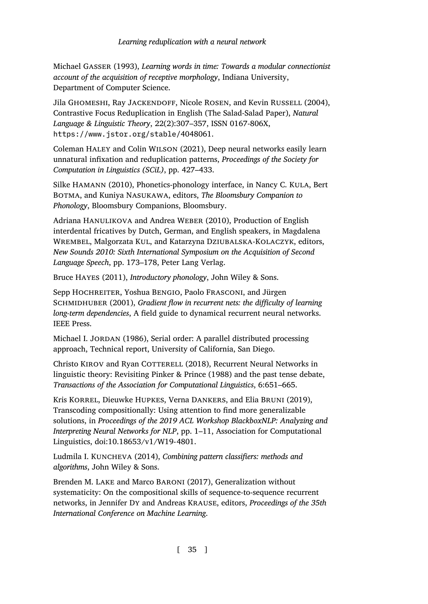<span id="page-34-9"></span><span id="page-34-7"></span><span id="page-34-5"></span><span id="page-34-1"></span>Michael GASSER (1993), *Learning words in time: Towards a modular connectionist account of the acquisition of receptive morphology*, Indiana University, Department of Computer Science.

<span id="page-34-10"></span>Jila GHOMESHI, Ray JACKENDOFF, Nicole ROSEN, and Kevin RUSSELL (2004), Contrastive Focus Reduplication in English (The Salad-Salad Paper), *Natural Language & Linguistic Theory*, 22(2):307–357, ISSN 0167-806X, https://www.jstor.org/stable/4048061.

Coleman HALEY and Colin WILSON (2021), Deep neural networks easily learn unnatural infixation and reduplication patterns, *Proceedings of the Society for Computation in Linguistics (SCiL)*, pp. 427–433.

<span id="page-34-8"></span><span id="page-34-6"></span>Silke HAMANN (2010), Phonetics-phonology interface, in Nancy C. KULA, Bert BOTMA, and Kuniya NASUKAWA, editors, *The Bloomsbury Companion to Phonology*, Bloomsbury Companions, Bloomsbury.

<span id="page-34-0"></span>Adriana HANULIKOVA and Andrea WEBER (2010), Production of English interdental fricatives by Dutch, German, and English speakers, in Magdalena WREMBEL, Malgorzata KUL, and Katarzyna DZIUBALSKA-KOLACZYK, editors, *New Sounds 2010: Sixth International Symposium on the Acquisition of Second Language Speech*, pp. 173–178, Peter Lang Verlag.

<span id="page-34-4"></span>Bruce HAYES (2011), *Introductory phonology*, John Wiley & Sons.

<span id="page-34-3"></span>Sepp HOCHREITER, Yoshua BENGIO, Paolo FRASCONI, and Jürgen SCHMIDHUBER (2001), *Gradient flow in recurrent nets: the difficulty of learning long-term dependencies*, A field guide to dynamical recurrent neural networks. IEEE Press.

Michael I. JORDAN (1986), Serial order: A parallel distributed processing approach, Technical report, University of California, San Diego.

<span id="page-34-2"></span>Christo KIROV and Ryan COTTERELL (2018), Recurrent Neural Networks in linguistic theory: Revisiting Pinker & Prince (1988) and the past tense debate, *Transactions of the Association for Computational Linguistics*, 6:651–665.

Kris KORREL, Dieuwke HUPKES, Verna DANKERS, and Elia BRUNI (2019), Transcoding compositionally: Using attention to find more generalizable solutions, in *Proceedings of the 2019 ACL Workshop BlackboxNLP: Analyzing and Interpreting Neural Networks for NLP*, pp. 1–11, Association for Computational Linguistics, doi:10.18653/v1/W19-4801.

Ludmila I. KUNCHEVA (2014), *Combining pattern classifiers: methods and algorithms*, John Wiley & Sons.

Brenden M. LAKE and Marco BARONI (2017), Generalization without systematicity: On the compositional skills of sequence-to-sequence recurrent networks, in Jennifer DY and Andreas KRAUSE, editors, *Proceedings of the 35th International Conference on Machine Learning*.

[ 35 ]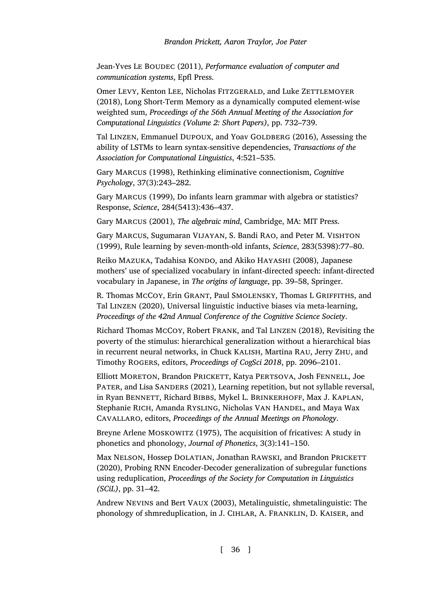<span id="page-35-8"></span>Jean-Yves LE BOUDEC (2011), *Performance evaluation of computer and communication systems*, Epfl Press.

<span id="page-35-4"></span>Omer LEVY, Kenton LEE, Nicholas FITZGERALD, and Luke ZETTLEMOYER (2018), Long Short-Term Memory as a dynamically computed element-wise weighted sum, *Proceedings of the 56th Annual Meeting of the Association for Computational Linguistics (Volume 2: Short Papers)*, pp. 732–739.

<span id="page-35-10"></span>Tal LINZEN, Emmanuel DUPOUX, and Yoav GOLDBERG (2016), Assessing the ability of LSTMs to learn syntax-sensitive dependencies, *Transactions of the Association for Computational Linguistics*, 4:521–535.

<span id="page-35-1"></span>Gary MARCUS (1998), Rethinking eliminative connectionism, *Cognitive Psychology*, 37(3):243–282.

<span id="page-35-2"></span>Gary MARCUS (1999), Do infants learn grammar with algebra or statistics? Response, *Science*, 284(5413):436–437.

<span id="page-35-12"></span>Gary MARCUS (2001), *The algebraic mind*, Cambridge, MA: MIT Press.

<span id="page-35-0"></span>Gary MARCUS, Sugumaran VIJAYAN, S. Bandi RAO, and Peter M. VISHTON (1999), Rule learning by seven-month-old infants, *Science*, 283(5398):77–80.

<span id="page-35-6"></span>Reiko MAZUKA, Tadahisa KONDO, and Akiko HAYASHI (2008), Japanese mothers' use of specialized vocabulary in infant-directed speech: infant-directed vocabulary in Japanese, in *The origins of language*, pp. 39–58, Springer.

<span id="page-35-5"></span>R. Thomas MCCOY, Erin GRANT, Paul SMOLENSKY, Thomas L GRIFFITHS, and Tal LINZEN (2020), Universal linguistic inductive biases via meta-learning, *Proceedings of the 42nd Annual Conference of the Cognitive Science Society*.

Richard Thomas MCCOY, Robert FRANK, and Tal LINZEN (2018), Revisiting the poverty of the stimulus: hierarchical generalization without a hierarchical bias in recurrent neural networks, in Chuck KALISH, Martina RAU, Jerry ZHU, and Timothy ROGERS, editors, *Proceedings of CogSci 2018*, pp. 2096–2101.

<span id="page-35-11"></span>Elliott MORETON, Brandon PRICKETT, Katya PERTSOVA, Josh FENNELL, Joe PATER, and Lisa SANDERS (2021), Learning repetition, but not syllable reversal, in Ryan BENNETT, Richard BIBBS, Mykel L. BRINKERHOFF, Max J. KAPLAN, Stephanie RICH, Amanda RYSLING, Nicholas VAN HANDEL, and Maya Wax CAVALLARO, editors, *Proceedings of the Annual Meetings on Phonology*.

<span id="page-35-9"></span>Breyne Arlene MOSKOWITZ (1975), The acquisition of fricatives: A study in phonetics and phonology, *Journal of Phonetics*, 3(3):141–150.

<span id="page-35-3"></span>Max NELSON, Hossep DOLATIAN, Jonathan RAWSKI, and Brandon PRICKETT (2020), Probing RNN Encoder-Decoder generalization of subregular functions using reduplication, *Proceedings of the Society for Computation in Linguistics (SCiL)*, pp. 31–42.

<span id="page-35-7"></span>Andrew NEVINS and Bert VAUX (2003), Metalinguistic, shmetalinguistic: The phonology of shmreduplication, in J. CIHLAR, A. FRANKLIN, D. KAISER, and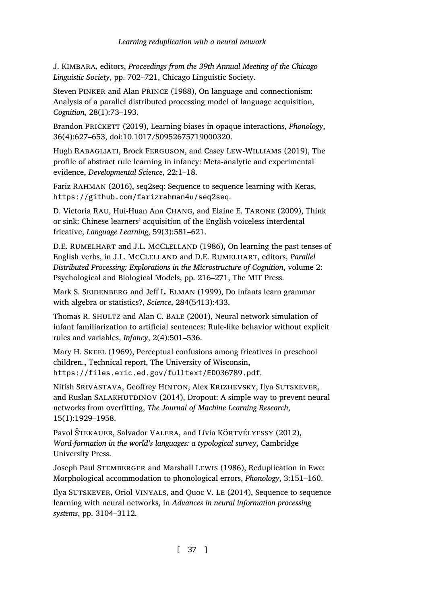<span id="page-36-5"></span><span id="page-36-3"></span>J. KIMBARA, editors, *Proceedings from the 39th Annual Meeting of the Chicago Linguistic Society*, pp. 702–721, Chicago Linguistic Society.

<span id="page-36-8"></span>Steven PINKER and Alan PRINCE (1988), On language and connectionism: [Analysis of a parallel distributed processing model](https://github.com/farizrahman4u/seq2seq) of language acquisition, *Cognition*, 28(1):73–193.

Brandon PRICKETT (2019), Learning biases in opaque interactions, *Phonology*, 36(4):627–653, doi:10.1017/S0952675719000320.

<span id="page-36-2"></span>Hugh RABAGLIATI, Brock FERGUSON, and Casey LEW-WILLIAMS (2019), The profile of abstract rule learning in infancy: Meta-analytic and experimental evidence, *Developmental Science*, 22:1–18.

<span id="page-36-4"></span>Fariz RAHMAN (2016), seq2seq: Sequence to sequence learning with Keras, https://github.com/farizrahman4u/seq2seq.

<span id="page-36-0"></span>D. Victoria RAU, Hui-Huan Ann CHANG, and Elaine E. TARONE (2009), Think or sink: Chinese learners' acquisition of the English voiceless interdental fricative, *Language Learning*, 59(3):581–621.

<span id="page-36-9"></span>D.E. RUMELHART and J.L. MCCLELLAND (1986), On learning the past tenses of English verbs, in J.L. MCCLELLAND and D.E. RUMELHART, editors, *Parallel Distributed Processing: Explorations in the Microstructure of Cognition*, volume 2: [Psychological and Biological Models, pp. 216–271, The MIT](https://files.eric.ed.gov/fulltext/ED036789.pdf) Press.

<span id="page-36-6"></span>Mark S. SEIDENBERG and Jeff L. ELMAN (1999), Do infants learn grammar with algebra or statistics?, *Science*, 284(5413):433.

<span id="page-36-7"></span>Thomas R. SHULTZ and Alan C. BALE (2001), Neural network simulation of infant familiarization to artificial sentences: Rule-like behavior without explicit rules and variables, *Infancy*, 2(4):501–536.

Mary H. SKEEL (1969), Perceptual confusions among fricatives in preschool children., Technical report, The University of Wisconsin, https://files.eric.ed.gov/fulltext/ED036789.pdf.

<span id="page-36-1"></span>Nitish SRIVASTAVA, Geoffrey HINTON, Alex KRIZHEVSKY, Ilya SUTSKEVER, and Ruslan SALAKHUTDINOV (2014), Dropout: A simple way to prevent neural networks from overfitting, *The Journal of Machine Learning Research*, 15(1):1929–1958.

Pavol ŠTEKAUER, Salvador VALERA, and Lívia KÖRTVÉLYESSY (2012), *Word-formation in the world's languages: a typological survey*, Cambridge University Press.

Joseph Paul STEMBERGER and Marshall LEWIS (1986), Reduplication in Ewe: Morphological accommodation to phonological errors, *Phonology*, 3:151–160.

Ilya SUTSKEVER, Oriol VINYALS, and Quoc V. LE (2014), Sequence to sequence learning with neural networks, in *Advances in neural information processing systems*, pp. 3104–3112.

[ 37 ]